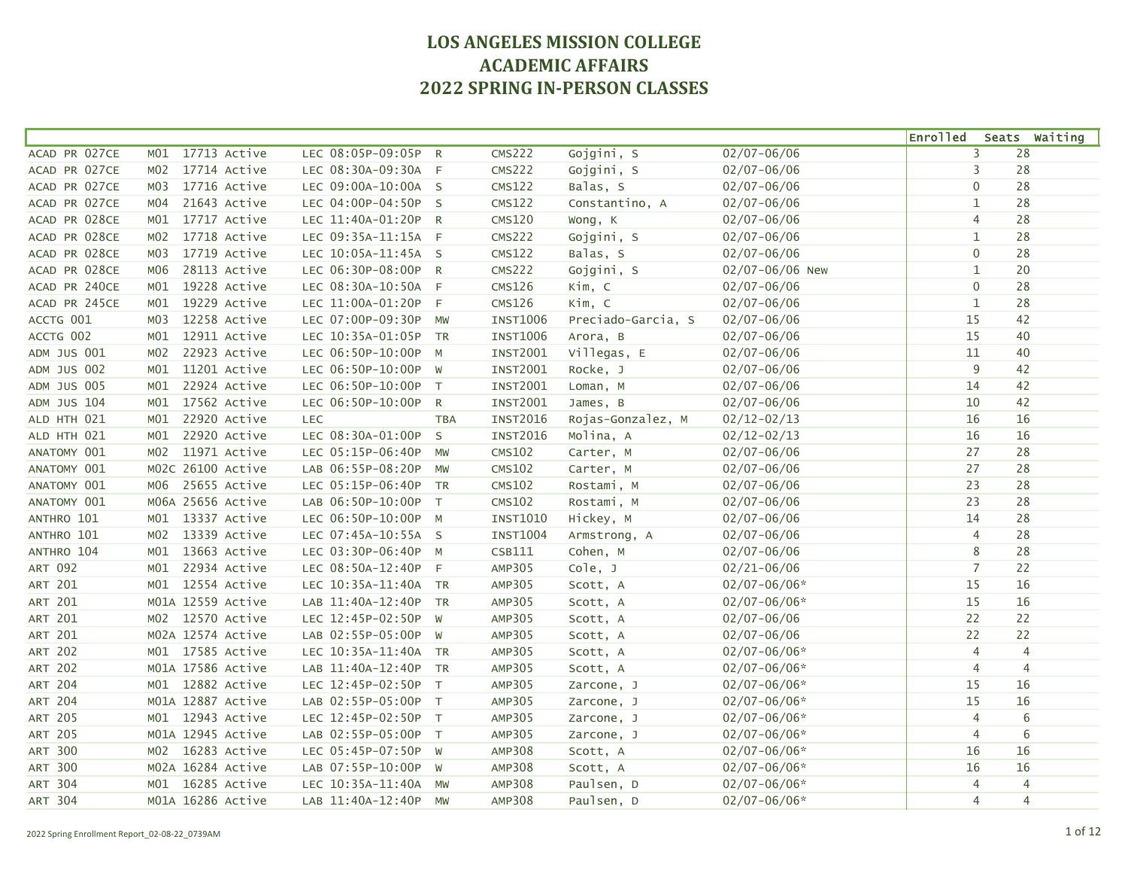|                    |                                 |                      |              |                 |                    |                  | <b>Enrolled</b> |    | Seats Waiting  |
|--------------------|---------------------------------|----------------------|--------------|-----------------|--------------------|------------------|-----------------|----|----------------|
| ACAD PR 027CE      | 17713 Active<br>M01             | LEC 08:05P-09:05P R  |              | <b>CMS222</b>   | Gojgini, S         | $02/07 - 06/06$  | 3               | 28 |                |
| ACAD PR 027CE      | 17714 Active<br>M02             | LEC 08:30A-09:30A F  |              | <b>CMS222</b>   | Gojgini, S         | $02/07 - 06/06$  | 3               | 28 |                |
| ACAD PR 027CE      | 17716 Active<br>M03             | LEC 09:00A-10:00A S  |              | <b>CMS122</b>   | Balas, S           | $02/07 - 06/06$  | $\mathbf 0$     | 28 |                |
| ACAD PR 027CE      | 21643 Active<br>M04             | LEC 04:00P-04:50P S  |              | CMS122          | Constantino, A     | $02/07 - 06/06$  | $\mathbf{1}$    | 28 |                |
| ACAD PR 028CE      | 17717 Active<br>MO1             | LEC 11:40A-01:20P R  |              | <b>CMS120</b>   | Wong, K            | $02/07 - 06/06$  | 4               | 28 |                |
| ACAD PR 028CE      | 17718 Active<br>M02             | LEC 09:35A-11:15A F  |              | <b>CMS222</b>   | Gojgini, S         | $02/07 - 06/06$  | $\mathbf{1}$    | 28 |                |
| ACAD PR 028CE      | 17719 Active<br>MO3             | LEC 10:05A-11:45A S  |              | <b>CMS122</b>   | Balas, S           | $02/07 - 06/06$  | $\mathbf 0$     | 28 |                |
| ACAD PR 028CE      | 28113 Active<br>M06             | LEC 06:30P-08:00P R  |              | <b>CMS222</b>   | Gojgini, S         | 02/07-06/06 New  | $\mathbf{1}$    | 20 |                |
| ACAD PR 240CE      | 19228 Active<br>MO1             | LEC 08:30A-10:50A F  |              | <b>CMS126</b>   | Kim, C             | $02/07 - 06/06$  | $\mathbf 0$     | 28 |                |
| ACAD PR 245CE      | 19229 Active<br>MO1             | LEC 11:00A-01:20P F  |              | <b>CMS126</b>   | Kim, C             | $02/07 - 06/06$  | $\mathbf{1}$    | 28 |                |
| ACCTG 001          | 12258 Active<br>M03             | LEC 07:00P-09:30P    | <b>MW</b>    | <b>INST1006</b> | Preciado-Garcia, S | $02/07 - 06/06$  | 15              | 42 |                |
| ACCTG 002          | 12911 Active<br>M01             | LEC 10:35A-01:05P TR |              | <b>INST1006</b> | Arora, B           | $02/07 - 06/06$  | 15              | 40 |                |
| ADM JUS 001        | 22923 Active<br>M02             | LEC 06:50P-10:00P    | M            | <b>INST2001</b> | Villegas, E        | $02/07 - 06/06$  | 11              | 40 |                |
| ADM JUS 002        | 11201 Active<br>M01             | LEC 06:50P-10:00P W  |              | <b>INST2001</b> | Rocke, J           | $02/07 - 06/06$  | 9               | 42 |                |
| <b>ADM JUS 005</b> | 22924 Active<br>MO1             | LEC 06:50P-10:00P T  |              | <b>INST2001</b> | Loman, M           | $02/07 - 06/06$  | 14              | 42 |                |
| ADM JUS 104        | 17562 Active<br>MO1             | LEC 06:50P-10:00P R  |              | <b>INST2001</b> | James, B           | $02/07 - 06/06$  | 10              | 42 |                |
| ALD HTH 021        | 22920 Active<br>M01             | <b>LEC</b>           | <b>TBA</b>   | <b>INST2016</b> | Rojas-Gonzalez, M  | $02/12 - 02/13$  | 16              | 16 |                |
| ALD HTH 021        | 22920 Active<br>M <sub>01</sub> | LEC 08:30A-01:00P    | $\mathsf{S}$ | <b>INST2016</b> | Molina, A          | $02/12 - 02/13$  | 16              | 16 |                |
| ANATOMY 001        | 11971 Active<br>MO2             | LEC 05:15P-06:40P    | <b>MW</b>    | <b>CMS102</b>   | Carter, M          | $02/07 - 06/06$  | 27              | 28 |                |
| ANATOMY 001        | M02C 26100 Active               | LAB 06:55P-08:20P    | <b>MW</b>    | <b>CMS102</b>   | Carter, M          | $02/07 - 06/06$  | 27              | 28 |                |
| ANATOMY 001        | 25655 Active<br>м06             | LEC 05:15P-06:40P TR |              | <b>CMS102</b>   | Rostami, M         | $02/07 - 06/06$  | 23              | 28 |                |
| ANATOMY 001        | M06A 25656 Active               | LAB 06:50P-10:00P T  |              | <b>CMS102</b>   | Rostami, M         | $02/07 - 06/06$  | 23              | 28 |                |
| ANTHRO 101         | 13337 Active<br>MO1             | LEC 06:50P-10:00P M  |              | INST1010        | Hickey, M          | $02/07 - 06/06$  | 14              | 28 |                |
| ANTHRO 101         | 13339 Active<br>M02             | LEC 07:45A-10:55A S  |              | <b>INST1004</b> | Armstrong, A       | $02/07 - 06/06$  | 4               | 28 |                |
| ANTHRO 104         | 13663 Active<br>M01             | LEC 03:30P-06:40P M  |              | CSB111          | Cohen, M           | $02/07 - 06/06$  | 8               | 28 |                |
| <b>ART 092</b>     | 22934 Active<br>M <sub>01</sub> | LEC 08:50A-12:40P F  |              | AMP305          | Cole, J            | $02/21 - 06/06$  | $\overline{7}$  | 22 |                |
| ART 201            | 12554 Active<br>M01             | LEC 10:35A-11:40A TR |              | <b>AMP305</b>   | Scott, A           | $02/07 - 06/06*$ | 15              | 16 |                |
| <b>ART 201</b>     | M01A 12559 Active               | LAB 11:40A-12:40P TR |              | AMP305          | Scott, A           | $02/07 - 06/06*$ | 15              | 16 |                |
| <b>ART 201</b>     | 12570 Active<br>MO2             | LEC 12:45P-02:50P W  |              | AMP305          | Scott, A           | $02/07 - 06/06$  | 22              | 22 |                |
| <b>ART 201</b>     | M02A 12574 Active               | LAB 02:55P-05:00P W  |              | AMP305          | Scott, A           | $02/07 - 06/06$  | 22              | 22 |                |
| <b>ART 202</b>     | M01 17585 Active                | LEC 10:35A-11:40A TR |              | AMP305          | Scott, A           | $02/07 - 06/06*$ | $\overline{4}$  |    | $\overline{4}$ |
| <b>ART 202</b>     | M01A 17586 Active               | LAB 11:40A-12:40P TR |              | AMP305          | Scott, A           | $02/07 - 06/06*$ | $\overline{4}$  |    | $\overline{4}$ |
| <b>ART 204</b>     | M01 12882 Active                | LEC 12:45P-02:50P T  |              | AMP305          | Zarcone, J         | $02/07 - 06/06*$ | 15              | 16 |                |
| <b>ART 204</b>     | M01A 12887 Active               | LAB 02:55P-05:00P T  |              | AMP305          | Zarcone, J         | $02/07 - 06/06*$ | 15              | 16 |                |
| <b>ART 205</b>     | M01 12943 Active                | LEC 12:45P-02:50P T  |              | AMP305          | Zarcone, J         | $02/07 - 06/06*$ | $\overline{4}$  |    | 6              |
| <b>ART 205</b>     | M01A 12945 Active               | LAB 02:55P-05:00P T  |              | AMP305          | Zarcone, J         | $02/07 - 06/06*$ | $\overline{4}$  |    | 6              |
| <b>ART 300</b>     | 16283 Active<br>MO2             | LEC 05:45P-07:50P W  |              | <b>AMP308</b>   | Scott, A           | $02/07 - 06/06*$ | 16              | 16 |                |
| <b>ART 300</b>     | M02A 16284 Active               | LAB 07:55P-10:00P W  |              | <b>AMP308</b>   | Scott, A           | $02/07 - 06/06*$ | 16              | 16 |                |
| <b>ART 304</b>     | M01 16285 Active                | LEC 10:35A-11:40A    | <b>MW</b>    | <b>AMP308</b>   | Paulsen, D         | $02/07 - 06/06*$ | $\overline{4}$  |    | $\overline{4}$ |
| <b>ART 304</b>     | M01A 16286 Active               | LAB 11:40A-12:40P    | <b>MW</b>    | <b>AMP308</b>   | Paulsen, D         | $02/07 - 06/06*$ | $\overline{4}$  |    | $\overline{4}$ |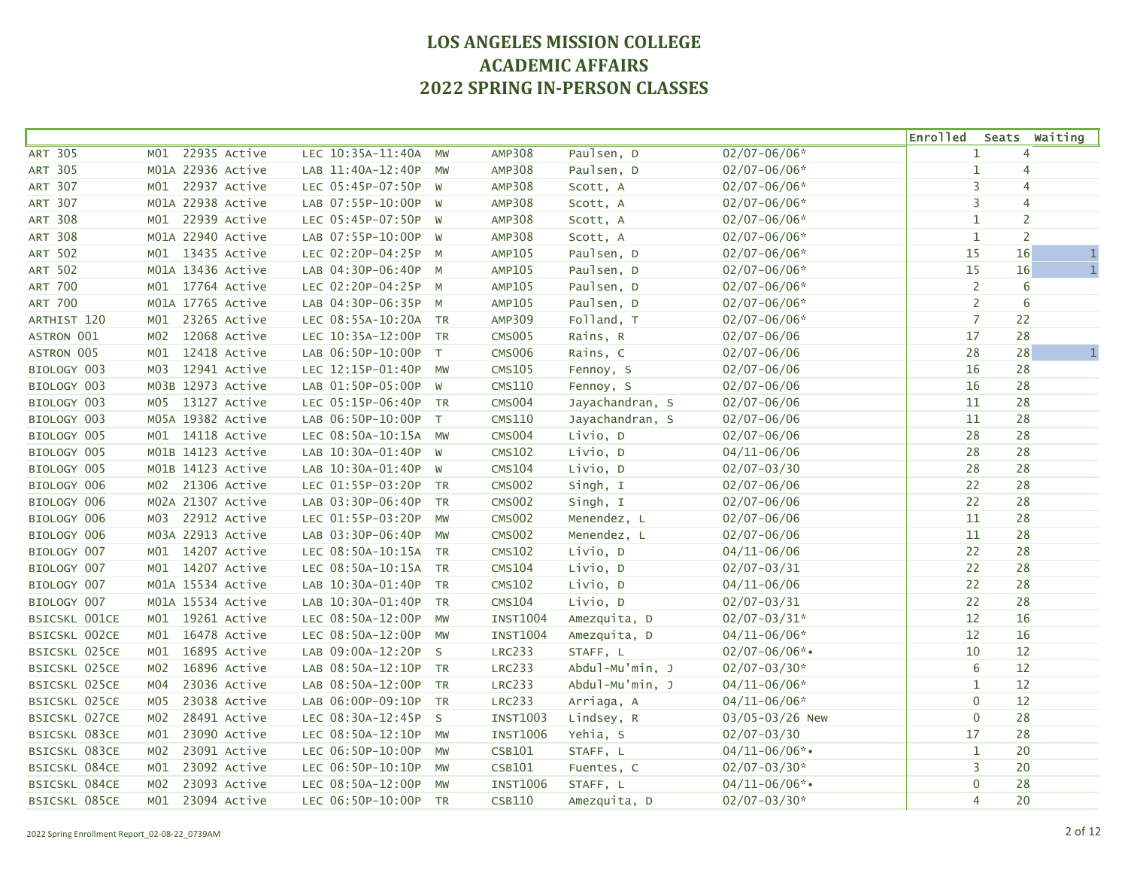|                      |                     |                      |           |                 |                 |                    | <b>Enrolled</b> |    | Seats Waiting  |
|----------------------|---------------------|----------------------|-----------|-----------------|-----------------|--------------------|-----------------|----|----------------|
| <b>ART 305</b>       | 22935 Active<br>MO1 | LEC 10:35A-11:40A    | MW        | <b>AMP308</b>   | Paulsen, D      | $02/07 - 06/06*$   | $\mathbf 1$     |    | 4              |
| <b>ART 305</b>       | M01A 22936 Active   | LAB 11:40A-12:40P    | MW        | <b>AMP308</b>   | Paulsen, D      | $02/07 - 06/06*$   | $\mathbf{1}$    |    | 4              |
| <b>ART 307</b>       | 22937 Active<br>MO1 | LEC 05:45P-07:50P W  |           | <b>AMP308</b>   | Scott, A        | $02/07 - 06/06*$   | 3               |    | 4              |
| <b>ART 307</b>       | M01A 22938 Active   | LAB 07:55P-10:00P W  |           | <b>AMP308</b>   | Scott, A        | $02/07 - 06/06*$   | 3               |    | 4              |
| <b>ART 308</b>       | 22939 Active<br>MO1 | LEC 05:45P-07:50P W  |           | <b>AMP308</b>   | Scott, A        | $02/07 - 06/06*$   | $\mathbf{1}$    |    | $\overline{2}$ |
| <b>ART 308</b>       | M01A 22940 Active   | LAB 07:55P-10:00P W  |           | <b>AMP308</b>   | Scott, A        | $02/07 - 06/06*$   | $\mathbf{1}$    |    | $\overline{2}$ |
| <b>ART 502</b>       | 13435 Active<br>MO1 | LEC 02:20P-04:25P M  |           | <b>AMP105</b>   | Paulsen, D      | $02/07 - 06/06*$   | 15              | 16 | $\mathbf 1$    |
| <b>ART 502</b>       | M01A 13436 Active   | LAB 04:30P-06:40P M  |           | AMP105          | Paulsen, D      | $02/07 - 06/06*$   | 15              | 16 | $\,1\,$        |
| <b>ART 700</b>       | M01 17764 Active    | LEC 02:20P-04:25P M  |           | AMP105          | Paulsen, D      | $02/07 - 06/06*$   | $\overline{2}$  |    | 6              |
| <b>ART 700</b>       | M01A 17765 Active   | LAB 04:30P-06:35P M  |           | AMP105          | Paulsen, D      | $02/07 - 06/06*$   | $\overline{2}$  |    | 6              |
| ARTHIST 120          | 23265 Active<br>MO1 | LEC 08:55A-10:20A TR |           | <b>AMP309</b>   | Folland, T      | $02/07 - 06/06*$   | $\overline{7}$  | 22 |                |
| ASTRON 001           | 12068 Active<br>MO2 | LEC 10:35A-12:00P TR |           | <b>CMS005</b>   | Rains, R        | $02/07 - 06/06$    | 17              | 28 |                |
| ASTRON 005           | 12418 Active<br>M01 | LAB 06:50P-10:00P T  |           | <b>CMS006</b>   | Rains, C        | $02/07 - 06/06$    | 28              | 28 | $\mathbf{1}$   |
| BIOLOGY 003          | 12941 Active<br>MO3 | LEC 12:15P-01:40P MW |           | <b>CMS105</b>   | Fennoy, S       | $02/07 - 06/06$    | 16              | 28 |                |
| BIOLOGY 003          | M03B 12973 Active   | LAB 01:50P-05:00P W  |           | <b>CMS110</b>   | Fennoy, S       | $02/07 - 06/06$    | 16              | 28 |                |
| BIOLOGY 003          | M05 13127 Active    | LEC 05:15P-06:40P TR |           | <b>CMS004</b>   | Jayachandran, S | $02/07 - 06/06$    | 11              | 28 |                |
| BIOLOGY 003          | M05A 19382 Active   | LAB 06:50P-10:00P    | T         | <b>CMS110</b>   | Jayachandran, S | $02/07 - 06/06$    | 11              | 28 |                |
| BIOLOGY 005          | M01 14118 Active    | LEC 08:50A-10:15A MW |           | <b>CMS004</b>   | Livio, D        | $02/07 - 06/06$    | 28              | 28 |                |
| BIOLOGY 005          | M01B 14123 Active   | LAB 10:30A-01:40P W  |           | <b>CMS102</b>   | Livio, D        | $04/11 - 06/06$    | 28              | 28 |                |
| BIOLOGY 005          | M01B 14123 Active   | LAB 10:30A-01:40P W  |           | <b>CMS104</b>   | Livio, D        | $02/07 - 03/30$    | 28              | 28 |                |
| BIOLOGY 006          | M02 21306 Active    | LEC 01:55P-03:20P TR |           | <b>CMS002</b>   | Singh, I        | $02/07 - 06/06$    | 22              | 28 |                |
| BIOLOGY 006          | M02A 21307 Active   | LAB 03:30P-06:40P TR |           | <b>CMS002</b>   | Singh, I        | $02/07 - 06/06$    | 22              | 28 |                |
| BIOLOGY 006          | 22912 Active<br>м03 | LEC 01:55P-03:20P    | MW        | <b>CMS002</b>   | Menendez, L     | $02/07 - 06/06$    | 11              | 28 |                |
| BIOLOGY 006          | M03A 22913 Active   | LAB 03:30P-06:40P    | MW        | <b>CMS002</b>   | Menendez, L     | $02/07 - 06/06$    | 11              | 28 |                |
| BIOLOGY 007          | M01 14207 Active    | LEC 08:50A-10:15A TR |           | <b>CMS102</b>   | Livio, D        | $04/11 - 06/06$    | 22              | 28 |                |
| BIOLOGY 007          | M01 14207 Active    | LEC 08:50A-10:15A TR |           | <b>CMS104</b>   | Livio, D        | $02/07 - 03/31$    | 22              | 28 |                |
| BIOLOGY 007          | M01A 15534 Active   | LAB 10:30A-01:40P TR |           | <b>CMS102</b>   | Livio, D        | $04/11 - 06/06$    | 22              | 28 |                |
| BIOLOGY 007          | M01A 15534 Active   | LAB 10:30A-01:40P TR |           | <b>CMS104</b>   | Livio, D        | $02/07 - 03/31$    | 22              | 28 |                |
| <b>BSICSKL 001CE</b> | 19261 Active<br>MO1 | LEC 08:50A-12:00P    | <b>MW</b> | <b>INST1004</b> | Amezquita, D    | $02/07 - 03/31*$   | 12              | 16 |                |
| <b>BSICSKL 002CE</b> | 16478 Active<br>MO1 | LEC 08:50A-12:00P    | MW        | <b>INST1004</b> | Amezquita, D    | $04/11 - 06/06*$   | 12              | 16 |                |
| BSICSKL 025CE        | 16895 Active<br>MO1 | LAB 09:00A-12:20P S  |           | <b>LRC233</b>   | STAFF, L        | $02/07 - 06/06$ *• | 10              | 12 |                |
| <b>BSICSKL 025CE</b> | 16896 Active<br>MO2 | LAB 08:50A-12:10P TR |           | <b>LRC233</b>   | Abdul-Mu'min, J | $02/07 - 03/30*$   | 6               | 12 |                |
| BSICSKL 025CE        | 23036 Active<br>MO4 | LAB 08:50A-12:00P TR |           | <b>LRC233</b>   | Abdul-Mu'min, J | $04/11 - 06/06*$   | $\mathbf{1}$    | 12 |                |
| BSICSKL 025CE        | 23038 Active<br>MO5 | LAB 06:00P-09:10P    | <b>TR</b> | <b>LRC233</b>   | Arriaga, A      | $04/11 - 06/06*$   | $\pmb{0}$       | 12 |                |
| <b>BSICSKL 027CE</b> | 28491 Active<br>M02 | LEC 08:30A-12:45P S  |           | <b>INST1003</b> | Lindsey, R      | 03/05-03/26 New    | $\mathbf{0}$    | 28 |                |
| <b>BSICSKL 083CE</b> | 23090 Active<br>MO1 | LEC 08:50A-12:10P    | MW        | <b>INST1006</b> | Yehia, S        | $02/07 - 03/30$    | 17              | 28 |                |
| <b>BSICSKL 083CE</b> | 23091 Active<br>M02 | LEC 06:50P-10:00P    | MW        | CSB101          | STAFF, L        | $04/11 - 06/06$ *• | $\mathbf{1}$    | 20 |                |
| BSICSKL 084CE        | 23092 Active<br>MO1 | LEC 06:50P-10:10P    | MW        | <b>CSB101</b>   | Fuentes, C      | $02/07 - 03/30*$   | 3               | 20 |                |
| BSICSKL 084CE        | 23093 Active<br>MO2 | LEC 08:50A-12:00P    | MW        | <b>INST1006</b> | STAFF, L        | $04/11 - 06/06$ *• | $\mathbf 0$     | 28 |                |
| BSICSKL 085CE        | 23094 Active<br>MO1 | LEC 06:50P-10:00P TR |           | <b>CSB110</b>   | Amezquita, D    | $02/07 - 03/30*$   | 4               | 20 |                |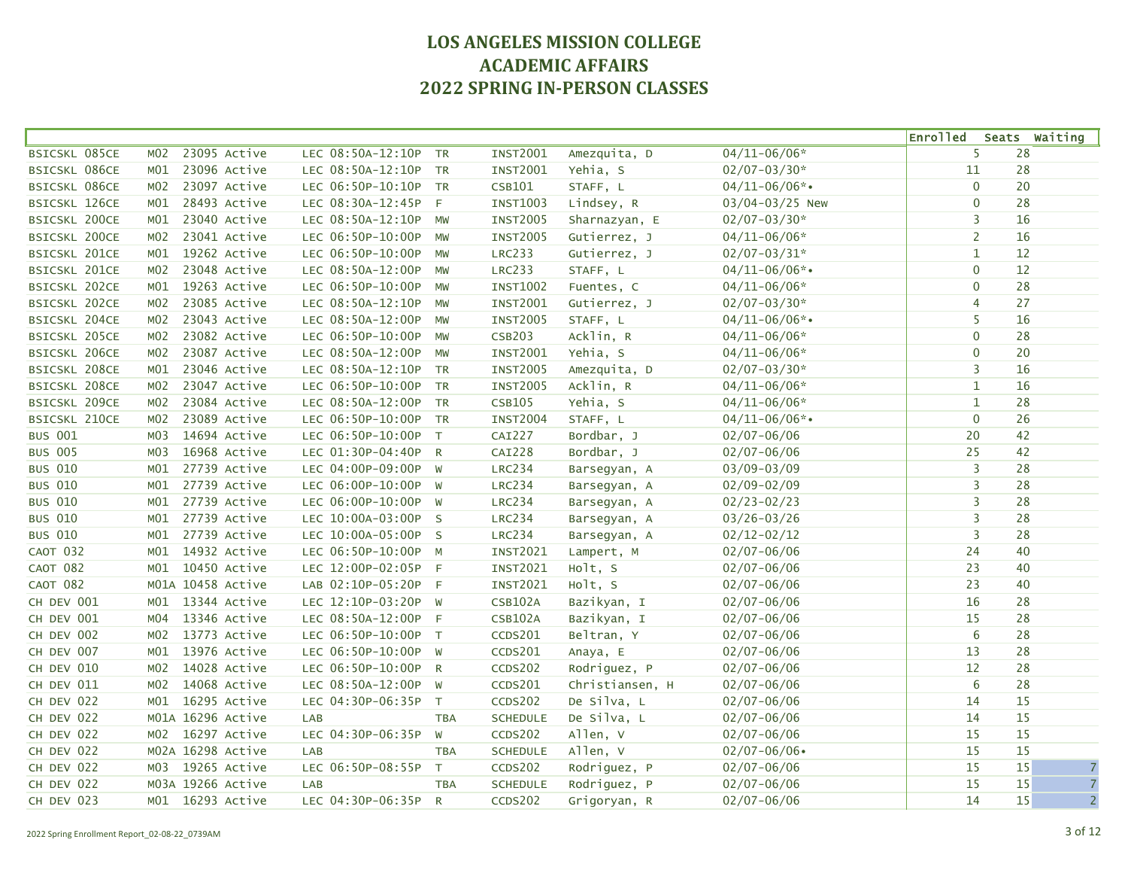|                      |                  |                   |                      |            |                 |                 |                    | <b>Enrolled</b>  | Seats Waiting        |
|----------------------|------------------|-------------------|----------------------|------------|-----------------|-----------------|--------------------|------------------|----------------------|
| BSICSKL 085CE        | M <sub>0</sub> 2 | 23095 Active      | LEC 08:50A-12:10P    | <b>TR</b>  | <b>INST2001</b> | Amezquita, D    | $04/11 - 06/06*$   | 5                | 28                   |
| <b>BSICSKL 086CE</b> | MO1              | 23096 Active      | LEC 08:50A-12:10P    | <b>TR</b>  | <b>INST2001</b> | Yehia, S        | $02/07 - 03/30*$   | 11               | 28                   |
| BSICSKL 086CE        | M02              | 23097 Active      | LEC 06:50P-10:10P TR |            | CSB101          | STAFF, L        | $04/11 - 06/06$ *• | $\mathbf 0$      | 20                   |
| <b>BSICSKL 126CE</b> | MO1              | 28493 Active      | LEC 08:30A-12:45P F  |            | <b>INST1003</b> | Lindsey, R      | 03/04-03/25 New    | $\mathbf 0$      | 28                   |
| BSICSKL 200CE        | MO1              | 23040 Active      | LEC 08:50A-12:10P    | MW         | <b>INST2005</b> | Sharnazyan, E   | $02/07 - 03/30*$   | 3                | 16                   |
| BSICSKL 200CE        | M02              | 23041 Active      | LEC 06:50P-10:00P    | MW         | <b>INST2005</b> | Gutierrez, J    | $04/11 - 06/06*$   | $\overline{2}$   | 16                   |
| <b>BSICSKL 201CE</b> | M <sub>01</sub>  | 19262 Active      | LEC 06:50P-10:00P    | MW         | <b>LRC233</b>   | Gutierrez, J    | $02/07 - 03/31*$   | $\mathbf{1}$     | 12                   |
| <b>BSICSKL 201CE</b> | M <sub>0</sub> 2 | 23048 Active      | LEC 08:50A-12:00P    | MW         | <b>LRC233</b>   | STAFF, L        | $04/11 - 06/06$ *• | $\mathbf 0$      | $12 \overline{ }$    |
| BSICSKL 202CE        | MO1              | 19263 Active      | LEC 06:50P-10:00P    | MW         | <b>INST1002</b> | Fuentes, C      | $04/11 - 06/06*$   | $\mathbf{0}$     | 28                   |
| BSICSKL 202CE        | M02              | 23085 Active      | LEC 08:50A-12:10P    | MW         | <b>INST2001</b> | Gutierrez, J    | $02/07 - 03/30*$   | 4                | 27                   |
| BSICSKL 204CE        | M02              | 23043 Active      | LEC 08:50A-12:00P    | MW         | <b>INST2005</b> | STAFF, L        | $04/11 - 06/06$ *• | 5                | 16                   |
| <b>BSICSKL 205CE</b> | M02              | 23082 Active      | LEC 06:50P-10:00P    | MW         | <b>CSB203</b>   | Acklin, R       | $04/11 - 06/06*$   | $\mathbf 0$      | 28                   |
| BSICSKL 206CE        | M02              | 23087 Active      | LEC 08:50A-12:00P    | MW         | <b>INST2001</b> | Yehia, S        | $04/11 - 06/06*$   | $\mathbf 0$      | 20                   |
| BSICSKL 208CE        | MO1              | 23046 Active      | LEC 08:50A-12:10P    | <b>TR</b>  | <b>INST2005</b> | Amezquita, D    | $02/07 - 03/30*$   | 3                | 16                   |
| BSICSKL 208CE        | M02              | 23047 Active      | LEC 06:50P-10:00P    | <b>TR</b>  | <b>INST2005</b> | Acklin, R       | $04/11 - 06/06*$   | $\mathbf{1}$     | 16                   |
| <b>BSICSKL 209CE</b> | M <sub>0</sub> 2 | 23084 Active      | LEC 08:50A-12:00P    | <b>TR</b>  | <b>CSB105</b>   | Yehia, S        | $04/11 - 06/06*$   | $\mathbf{1}$     | 28                   |
| <b>BSICSKL 210CE</b> | M02              | 23089 Active      | LEC 06:50P-10:00P    | <b>TR</b>  | <b>INST2004</b> | STAFF, L        | $04/11 - 06/06$ *• | $\mathbf 0$      | 26                   |
| <b>BUS 001</b>       | M03              | 14694 Active      | LEC 06:50P-10:00P T  |            | <b>CAI227</b>   | Bordbar, J      | $02/07 - 06/06$    | 20               | 42                   |
| <b>BUS 005</b>       | M03              | 16968 Active      | LEC 01:30P-04:40P R  |            | <b>CAI228</b>   | Bordbar, J      | $02/07 - 06/06$    | 25               | 42                   |
| <b>BUS 010</b>       | MO1              | 27739 Active      | LEC 04:00P-09:00P W  |            | <b>LRC234</b>   | Barsegyan, A    | $03/09 - 03/09$    | 3                | 28                   |
| <b>BUS 010</b>       | MO1              | 27739 Active      | LEC 06:00P-10:00P W  |            | <b>LRC234</b>   | Barsegyan, A    | $02/09 - 02/09$    | 3                | 28                   |
| <b>BUS 010</b>       | MO1              | 27739 Active      | LEC 06:00P-10:00P W  |            | <b>LRC234</b>   | Barsegyan, A    | $02/23 - 02/23$    | 3                | 28                   |
| <b>BUS 010</b>       | M <sub>01</sub>  | 27739 Active      | LEC 10:00A-03:00P S  |            | <b>LRC234</b>   | Barsegyan, A    | $03/26 - 03/26$    | 3                | 28                   |
| <b>BUS 010</b>       | M01              | 27739 Active      | LEC 10:00A-05:00P S  |            | <b>LRC234</b>   | Barsegyan, A    | $02/12 - 02/12$    | 3                | 28                   |
| CAOT 032             | M01              | 14932 Active      | LEC 06:50P-10:00P M  |            | INST2021        | Lampert, M      | $02/07 - 06/06$    | 24               | 40                   |
| CAOT 082             | MO1              | 10450 Active      | LEC 12:00P-02:05P F  |            | INST2021        | Holt, S         | $02/07 - 06/06$    | 23               | 40                   |
| CAOT 082             |                  | M01A 10458 Active | LAB 02:10P-05:20P F  |            | INST2021        | Holt, S         | $02/07 - 06/06$    | 23               | 40                   |
| CH DEV 001           | M01              | 13344 Active      | LEC 12:10P-03:20P W  |            | <b>CSB102A</b>  | Bazikyan, I     | $02/07 - 06/06$    | 16               | 28                   |
| CH DEV 001           | M04              | 13346 Active      | LEC 08:50A-12:00P F  |            | CSB102A         | Bazikyan, I     | $02/07 - 06/06$    | 15               | 28                   |
| CH DEV 002           | M02              | 13773 Active      | LEC 06:50P-10:00P T  |            | CCDS201         | Beltran, Y      | $02/07 - 06/06$    | 6                | 28                   |
| CH DEV 007           | MO1              | 13976 Active      | LEC 06:50P-10:00P W  |            | CCDS201         | Anaya, E        | $02/07 - 06/06$    | 13               | 28                   |
| CH DEV 010           | M02              | 14028 Active      | LEC 06:50P-10:00P R  |            | CCDS202         | Rodriguez, P    | $02/07 - 06/06$    | 12               | 28                   |
| CH DEV 011           | M02              | 14068 Active      | LEC 08:50A-12:00P    | W          | CCDS201         | Christiansen, H | $02/07 - 06/06$    | $\boldsymbol{6}$ | 28                   |
| CH DEV 022           | M01              | 16295 Active      | LEC 04:30P-06:35P T  |            | CCDS202         | De Silva, L     | $02/07 - 06/06$    | 14               | 15                   |
| CH DEV 022           |                  | M01A 16296 Active | LAB                  | <b>TBA</b> | <b>SCHEDULE</b> | De Silva, L     | $02/07 - 06/06$    | 14               | 15                   |
| CH DEV 022           |                  | M02 16297 Active  | LEC 04:30P-06:35P    | W          | CCDS202         | Allen, V        | $02/07 - 06/06$    | 15               | 15                   |
| CH DEV 022           |                  | M02A 16298 Active | LAB                  | <b>TBA</b> | <b>SCHEDULE</b> | Allen, V        | $02/07 - 06/06$    | 15               | 15                   |
| CH DEV 022           |                  | M03 19265 Active  | LEC 06:50P-08:55P    | T          | CCDS202         | Rodriguez, P    | $02/07 - 06/06$    | 15               | 15<br>$\sqrt{7}$     |
| CH DEV 022           |                  | M03A 19266 Active | LAB                  | <b>TBA</b> | <b>SCHEDULE</b> | Rodriguez, P    | $02/07 - 06/06$    | 15               | $\overline{7}$<br>15 |
| CH DEV 023           |                  | M01 16293 Active  | LEC 04:30P-06:35P R  |            | CCDS202         | Grigoryan, R    | $02/07 - 06/06$    | 14               | $\overline{2}$<br>15 |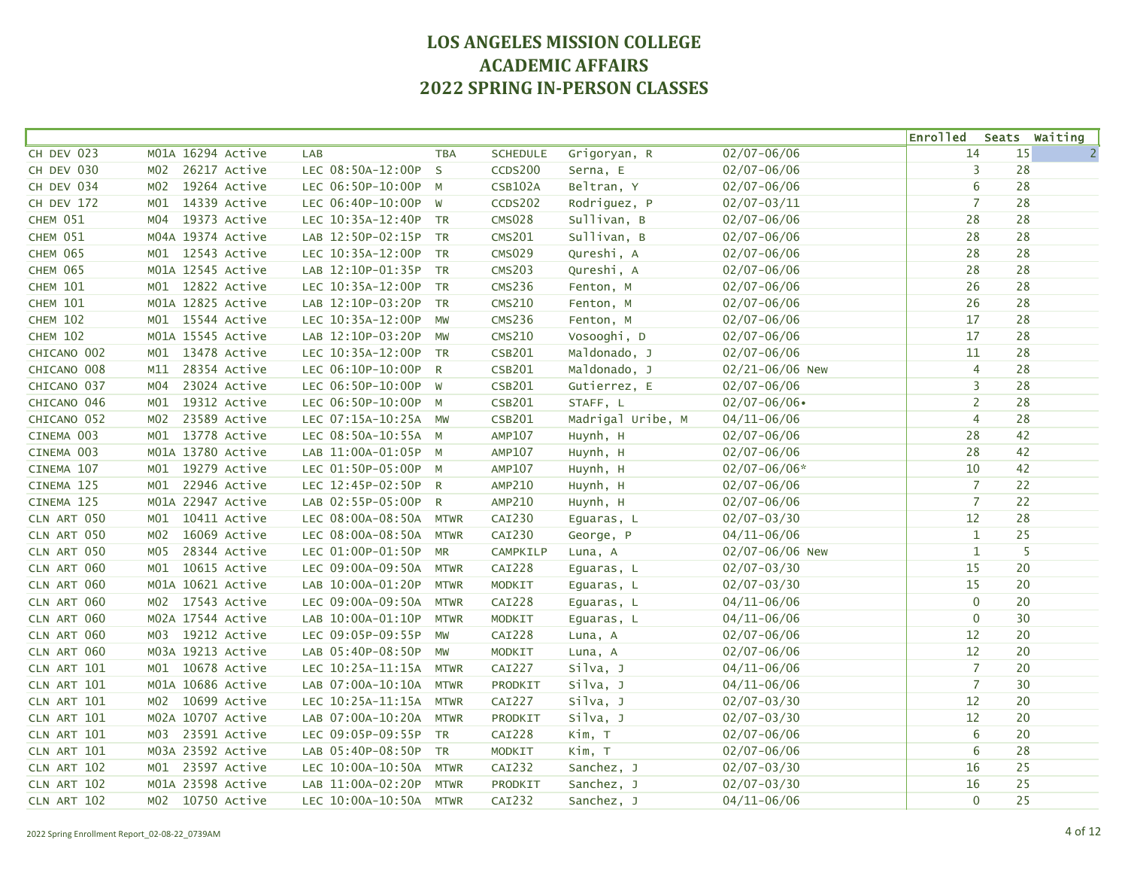|                   |                     |                        |             |                 |                   |                  | <b>Enrolled</b> |    | Seats Waiting  |
|-------------------|---------------------|------------------------|-------------|-----------------|-------------------|------------------|-----------------|----|----------------|
| CH DEV 023        | M01A 16294 Active   | LAB                    | <b>TBA</b>  | <b>SCHEDULE</b> | Grigoryan, R      | $02/07 - 06/06$  | 14              | 15 | $\overline{2}$ |
| CH DEV 030        | 26217 Active<br>MO2 | LEC 08:50A-12:00P      | S.          | <b>CCDS200</b>  | Serna, E          | $02/07 - 06/06$  | 3               | 28 |                |
| CH DEV 034        | 19264 Active<br>MO2 | LEC 06:50P-10:00P M    |             | <b>CSB102A</b>  | Beltran, Y        | $02/07 - 06/06$  | 6               | 28 |                |
| <b>CH DEV 172</b> | 14339 Active<br>MO1 | LEC 06:40P-10:00P W    |             | CCDS202         | Rodriguez, P      | $02/07 - 03/11$  | $\overline{7}$  | 28 |                |
| CHEM 051          | 19373 Active<br>MO4 | LEC 10:35A-12:40P TR   |             | <b>CMS028</b>   | Sullivan, B       | $02/07 - 06/06$  | 28              | 28 |                |
| CHEM 051          | M04A 19374 Active   | LAB 12:50P-02:15P TR   |             | <b>CMS201</b>   | Sullivan, B       | $02/07 - 06/06$  | 28              | 28 |                |
| CHEM 065          | 12543 Active<br>MO1 | LEC 10:35A-12:00P TR   |             | <b>CMS029</b>   | Qureshi, A        | $02/07 - 06/06$  | 28              | 28 |                |
| <b>CHEM 065</b>   | M01A 12545 Active   | LAB 12:10P-01:35P TR   |             | <b>CMS203</b>   | Qureshi, A        | $02/07 - 06/06$  | 28              | 28 |                |
| <b>CHEM 101</b>   | M01 12822 Active    | LEC 10:35A-12:00P TR   |             | <b>CMS236</b>   | Fenton, M         | $02/07 - 06/06$  | 26              | 28 |                |
| <b>CHEM 101</b>   | M01A 12825 Active   | LAB 12:10P-03:20P TR   |             | <b>CMS210</b>   | Fenton, M         | $02/07 - 06/06$  | 26              | 28 |                |
| <b>CHEM 102</b>   | M01 15544 Active    | LEC 10:35A-12:00P      | MW          | <b>CMS236</b>   | Fenton, M         | $02/07 - 06/06$  | 17              | 28 |                |
| <b>CHEM 102</b>   | M01A 15545 Active   | LAB 12:10P-03:20P MW   |             | <b>CMS210</b>   | Vosooghi, D       | $02/07 - 06/06$  | 17              | 28 |                |
| CHICANO 002       | 13478 Active<br>MO1 | LEC 10:35A-12:00P TR   |             | <b>CSB201</b>   | Maldonado, J      | $02/07 - 06/06$  | 11              | 28 |                |
| CHICANO 008       | 28354 Active<br>M11 | LEC 06:10P-10:00P R    |             | <b>CSB201</b>   | Maldonado, J      | 02/21-06/06 New  | 4               | 28 |                |
| CHICANO 037       | 23024 Active<br>MO4 | LEC 06:50P-10:00P W    |             | <b>CSB201</b>   | Gutierrez, E      | $02/07 - 06/06$  | 3               | 28 |                |
| CHICANO 046       | 19312 Active<br>MO1 | LEC 06:50P-10:00P M    |             | <b>CSB201</b>   | STAFF, L          | $02/07 - 06/06$  | $\overline{2}$  | 28 |                |
| CHICANO 052       | 23589 Active<br>M02 | LEC 07:15A-10:25A MW   |             | <b>CSB201</b>   | Madrigal Uribe, M | $04/11 - 06/06$  | $\overline{4}$  | 28 |                |
| CINEMA 003        | 13778 Active<br>MO1 | LEC 08:50A-10:55A M    |             | <b>AMP107</b>   | Huynh, H          | $02/07 - 06/06$  | 28              | 42 |                |
| CINEMA 003        | M01A 13780 Active   | LAB 11:00A-01:05P M    |             | <b>AMP107</b>   | Huynh, H          | $02/07 - 06/06$  | 28              | 42 |                |
| CINEMA 107        | M01 19279 Active    | LEC 01:50P-05:00P M    |             | <b>AMP107</b>   | Huynh, H          | $02/07 - 06/06*$ | 10              | 42 |                |
| CINEMA 125        | 22946 Active<br>MO1 | LEC 12:45P-02:50P R    |             | AMP210          | Huynh, H          | $02/07 - 06/06$  | $\overline{7}$  | 22 |                |
| CINEMA 125        | M01A 22947 Active   | LAB 02:55P-05:00P R    |             | <b>AMP210</b>   | Huynh, H          | $02/07 - 06/06$  | $\overline{7}$  | 22 |                |
| CLN ART 050       | 10411 Active<br>MO1 | LEC 08:00A-08:50A      | <b>MTWR</b> | <b>CAI230</b>   | Eguaras, L        | $02/07 - 03/30$  | 12              | 28 |                |
| CLN ART 050       | 16069 Active<br>MO2 | LEC 08:00A-08:50A      | <b>MTWR</b> | CAI230          | George, P         | $04/11 - 06/06$  | $\mathbf{1}$    | 25 |                |
| CLN ART 050       | 28344 Active<br>M05 | LEC 01:00P-01:50P      | <b>MR</b>   | CAMPKILP        | Luna, A           | 02/07-06/06 New  | $\mathbf{1}$    | 5  |                |
| CLN ART 060       | 10615 Active<br>MO1 | LEC 09:00A-09:50A      | <b>MTWR</b> | <b>CAI228</b>   | Equaras, L        | $02/07 - 03/30$  | 15              | 20 |                |
| CLN ART 060       | M01A 10621 Active   | LAB 10:00A-01:20P      | <b>MTWR</b> | MODKIT          | Eguaras, L        | $02/07 - 03/30$  | 15              | 20 |                |
| CLN ART 060       | M02 17543 Active    | LEC 09:00A-09:50A      | <b>MTWR</b> | <b>CAI228</b>   | Eguaras, L        | $04/11 - 06/06$  | $\mathbf 0$     | 20 |                |
| CLN ART 060       | MO2A 17544 Active   | LAB 10:00A-01:10P      | <b>MTWR</b> | MODKIT          | Eguaras, L        | $04/11 - 06/06$  | $\mathbf{0}$    | 30 |                |
| CLN ART 060       | 19212 Active<br>MO3 | LEC 09:05P-09:55P      | MW          | <b>CAI228</b>   | Luna, A           | $02/07 - 06/06$  | 12              | 20 |                |
| CLN ART 060       | M03A 19213 Active   | LAB 05:40P-08:50P      | MW          | MODKIT          | Luna, A           | $02/07 - 06/06$  | 12              | 20 |                |
| CLN ART 101       | M01 10678 Active    | LEC 10:25A-11:15A      | <b>MTWR</b> | CAI227          | Silva, J          | $04/11 - 06/06$  | $\overline{7}$  | 20 |                |
| CLN ART 101       | M01A 10686 Active   | LAB 07:00A-10:10A      | <b>MTWR</b> | PRODKIT         | Silva, J          | $04/11 - 06/06$  | $\overline{7}$  | 30 |                |
| CLN ART 101       | M02 10699 Active    | LEC 10:25A-11:15A      | <b>MTWR</b> | <b>CAI227</b>   | Silva, J          | $02/07 - 03/30$  | $12$            | 20 |                |
| CLN ART 101       | M02A 10707 Active   | LAB 07:00A-10:20A      | <b>MTWR</b> | PRODKIT         | silva, J          | $02/07 - 03/30$  | 12              | 20 |                |
| CLN ART 101       | M03 23591 Active    | LEC 09:05P-09:55P TR   |             | <b>CAI228</b>   | Kim, T            | $02/07 - 06/06$  | 6               | 20 |                |
| CLN ART 101       | M03A 23592 Active   | LAB 05:40P-08:50P TR   |             | <b>MODKIT</b>   | Kim, T            | $02/07 - 06/06$  | 6               | 28 |                |
| CLN ART 102       | M01 23597 Active    | LEC 10:00A-10:50A      | <b>MTWR</b> | CAI232          | Sanchez, J        | $02/07 - 03/30$  | 16              | 25 |                |
| CLN ART 102       | M01A 23598 Active   | LAB 11:00A-02:20P      | <b>MTWR</b> | PRODKIT         | Sanchez, J        | $02/07 - 03/30$  | 16              | 25 |                |
| CLN ART 102       | M02 10750 Active    | LEC 10:00A-10:50A MTWR |             | CAI232          | Sanchez, J        | $04/11 - 06/06$  | $\mathbf 0$     | 25 |                |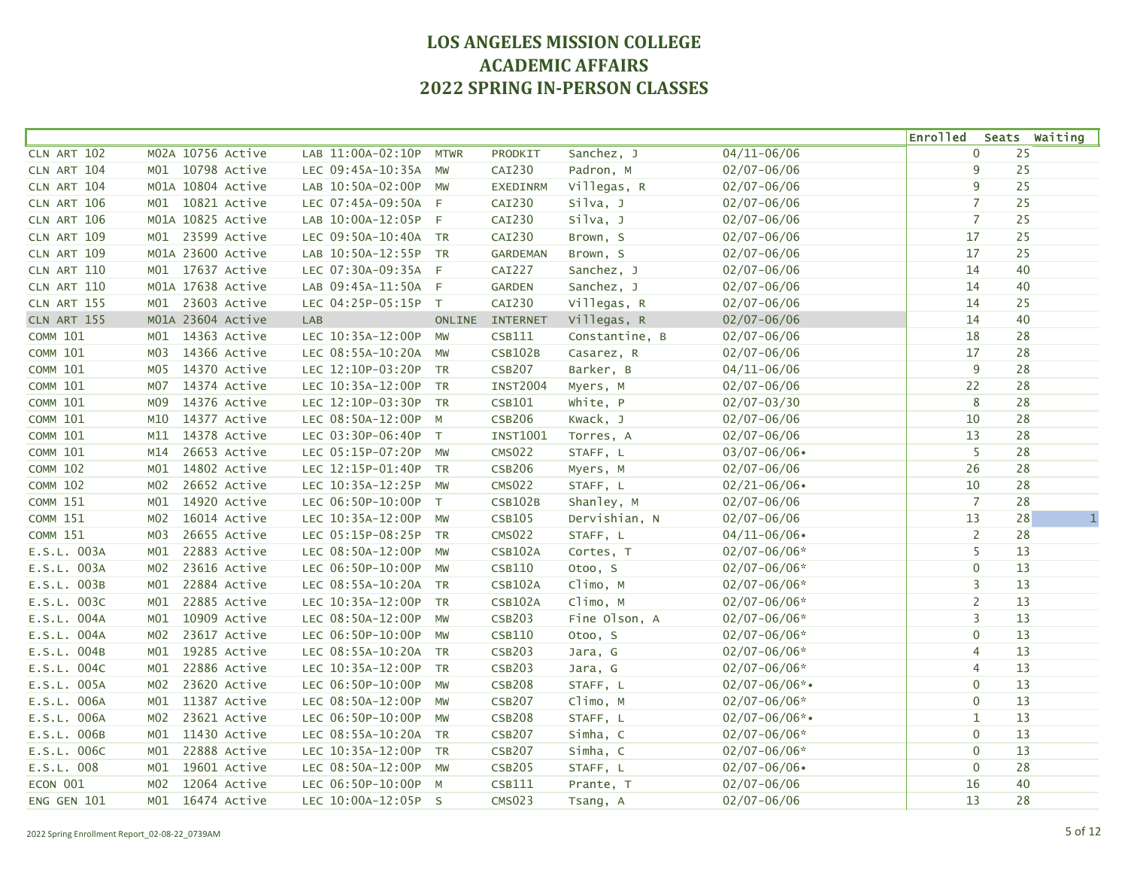|                 |                  |                   |                      |             |                 |                |                    | <b>Enrolled</b> |    | Seats Waiting      |
|-----------------|------------------|-------------------|----------------------|-------------|-----------------|----------------|--------------------|-----------------|----|--------------------|
| CLN ART 102     |                  | M02A 10756 Active | LAB 11:00A-02:10P    | <b>MTWR</b> | PRODKIT         | Sanchez, J     | $04/11 - 06/06$    | $\mathbf 0$     |    | 25                 |
| CLN ART 104     |                  | M01 10798 Active  | LEC 09:45A-10:35A    | MW          | <b>CAI230</b>   | Padron, M      | $02/07 - 06/06$    | 9               | 25 |                    |
| CLN ART 104     |                  | M01A 10804 Active | LAB 10:50A-02:00P    | <b>MW</b>   | <b>EXEDINRM</b> | Villegas, R    | $02/07 - 06/06$    | 9               |    | 25                 |
| CLN ART 106     |                  | M01 10821 Active  | LEC 07:45A-09:50A F  |             | CAI230          | Silva, J       | $02/07 - 06/06$    | $\overline{7}$  |    | 25                 |
| CLN ART 106     |                  | M01A 10825 Active | LAB 10:00A-12:05P F  |             | CAI230          | Silva, J       | $02/07 - 06/06$    | $\overline{7}$  | 25 |                    |
| CLN ART 109     |                  | M01 23599 Active  | LEC 09:50A-10:40A TR |             | CAI230          | Brown, S       | $02/07 - 06/06$    | 17              | 25 |                    |
| CLN ART 109     |                  | M01A 23600 Active | LAB 10:50A-12:55P TR |             | <b>GARDEMAN</b> | Brown, S       | $02/07 - 06/06$    | 17              |    | 25                 |
| CLN ART 110     |                  | M01 17637 Active  | LEC 07:30A-09:35A F  |             | <b>CAI227</b>   | Sanchez, J     | $02/07 - 06/06$    | 14              |    | 40                 |
| CLN ART 110     |                  | M01A 17638 Active | LAB 09:45A-11:50A F  |             | <b>GARDEN</b>   | Sanchez, J     | $02/07 - 06/06$    | 14              |    | 40                 |
| CLN ART 155     |                  | M01 23603 Active  | LEC 04:25P-05:15P T  |             | CAI230          | Villegas, R    | $02/07 - 06/06$    | 14              |    | 25                 |
| CLN ART 155     |                  | M01A 23604 Active | LAB                  |             | ONLINE INTERNET | Villegas, R    | $02/07 - 06/06$    | 14              |    | 40                 |
| <b>COMM 101</b> | MO1              | 14363 Active      | LEC 10:35A-12:00P    | <b>MW</b>   | CSB111          | Constantine, B | $02/07 - 06/06$    | 18              | 28 |                    |
| <b>COMM 101</b> | M03              | 14366 Active      | LEC 08:55A-10:20A    | MW          | <b>CSB102B</b>  | Casarez, R     | $02/07 - 06/06$    | 17              | 28 |                    |
| <b>COMM 101</b> | M05              | 14370 Active      | LEC 12:10P-03:20P TR |             | <b>CSB207</b>   | Barker, B      | $04/11 - 06/06$    | 9               |    | 28                 |
| <b>COMM 101</b> | M07              | 14374 Active      | LEC 10:35A-12:00P TR |             | <b>INST2004</b> | Myers, M       | $02/07 - 06/06$    | 22              |    | 28                 |
| <b>COMM 101</b> | M <sub>09</sub>  | 14376 Active      | LEC 12:10P-03:30P    | <b>TR</b>   | CSB101          | White, P       | $02/07 - 03/30$    | 8               | 28 |                    |
| <b>COMM 101</b> | M10              | 14377 Active      | LEC 08:50A-12:00P    | $M_{\odot}$ | <b>CSB206</b>   | Kwack, J       | $02/07 - 06/06$    | 10              |    | 28                 |
| <b>COMM 101</b> | M11              | 14378 Active      | LEC 03:30P-06:40P T  |             | <b>INST1001</b> | Torres, A      | $02/07 - 06/06$    | 13              |    | 28                 |
| <b>COMM 101</b> | M14              | 26653 Active      | LEC 05:15P-07:20P    | MW          | <b>CMS022</b>   | STAFF, L       | $03/07 - 06/06$    | 5               |    | 28                 |
| <b>COMM 102</b> | M01              | 14802 Active      | LEC 12:15P-01:40P TR |             | <b>CSB206</b>   | Myers, M       | $02/07 - 06/06$    | 26              | 28 |                    |
| <b>COMM 102</b> | M02              | 26652 Active      | LEC 10:35A-12:25P MW |             | <b>CMS022</b>   | STAFF, L       | $02/21 - 06/06$    | 10              | 28 |                    |
| <b>COMM 151</b> | M01              | 14920 Active      | LEC 06:50P-10:00P T  |             | <b>CSB102B</b>  | Shanley, M     | $02/07 - 06/06$    | $\overline{7}$  |    | 28                 |
| <b>COMM 151</b> | M02              | 16014 Active      | LEC 10:35A-12:00P MW |             | <b>CSB105</b>   | Dervishian, N  | $02/07 - 06/06$    | 13              |    | 28<br>$\mathbf{1}$ |
| <b>COMM 151</b> | M <sub>0</sub> 3 | 26655 Active      | LEC 05:15P-08:25P    | <b>TR</b>   | <b>CMS022</b>   | STAFF, L       | $04/11 - 06/06$    | $\overline{2}$  |    | 28                 |
| E.S.L. 003A     | MO1              | 22883 Active      | LEC 08:50A-12:00P    | MW          | <b>CSB102A</b>  | Cortes, T      | $02/07 - 06/06*$   | 5               |    | 13                 |
| E.S.L. 003A     | M02              | 23616 Active      | LEC 06:50P-10:00P    | MW          | <b>CSB110</b>   | Otoo, S        | $02/07 - 06/06*$   | $\mathbf 0$     |    | 13                 |
| E.S.L. 003B     | MO1              | 22884 Active      | LEC 08:55A-10:20A TR |             | <b>CSB102A</b>  | Climo, M       | $02/07 - 06/06*$   | 3               |    | 13                 |
| E.S.L. 003C     | MO1              | 22885 Active      | LEC 10:35A-12:00P    | <b>TR</b>   | <b>CSB102A</b>  | Climo, M       | $02/07 - 06/06*$   | $\overline{2}$  |    | 13                 |
| E.S.L. 004A     | MO1              | 10909 Active      | LEC 08:50A-12:00P    | MW          | <b>CSB203</b>   | Fine Olson, A  | $02/07 - 06/06*$   | 3               |    | 13                 |
| E.S.L. 004A     | M <sub>0</sub> 2 | 23617 Active      | LEC 06:50P-10:00P    | MW          | <b>CSB110</b>   | Otoo, S        | $02/07 - 06/06*$   | $\mathbf 0$     |    | 13                 |
| E.S.L. 004B     | MO1              | 19285 Active      | LEC 08:55A-10:20A TR |             | <b>CSB203</b>   | Jara, G        | $02/07 - 06/06*$   | 4               |    | 13                 |
| $E.S.L.$ 004C   | MO1              | 22886 Active      | LEC 10:35A-12:00P TR |             | <b>CSB203</b>   | Jara, G        | $02/07 - 06/06*$   | $\overline{4}$  |    | 13                 |
| E.S.L. 005A     | M02              | 23620 Active      | LEC 06:50P-10:00P    | <b>MW</b>   | <b>CSB208</b>   | STAFF, L       | $02/07 - 06/06$ *• | $\mathbf 0$     |    | 13                 |
| E.S.L. 006A     | M01              | 11387 Active      | LEC 08:50A-12:00P    | MW          | <b>CSB207</b>   | Climo, M       | $02/07 - 06/06*$   | $\mathbf 0$     |    | 13                 |
| E.S.L. 006A     | M02              | 23621 Active      | LEC 06:50P-10:00P    | MW          | <b>CSB208</b>   | STAFF, L       | $02/07 - 06/06$ *• | $\mathbf 1$     |    | 13                 |
| E.S.L. 006B     | M <sub>01</sub>  | 11430 Active      | LEC 08:55A-10:20A    | <b>TR</b>   | <b>CSB207</b>   | Simha, C       | $02/07 - 06/06*$   | $\mathbf 0$     |    | 13                 |
| E.S.L. 006C     | M <sub>01</sub>  | 22888 Active      | LEC 10:35A-12:00P TR |             | <b>CSB207</b>   | Simha, C       | $02/07 - 06/06*$   | $\mathbf 0$     |    | 13                 |
| E.S.L. 008      | MO1              | 19601 Active      | LEC 08:50A-12:00P    | <b>MW</b>   | <b>CSB205</b>   | STAFF, L       | $02/07 - 06/06$    | $\mathbf 0$     | 28 |                    |
| ECON 001        | M02              | 12064 Active      | LEC 06:50P-10:00P M  |             | CSB111          | Prante, T      | $02/07 - 06/06$    | 16              | 40 |                    |
| ENG GEN 101     | MO1              | 16474 Active      | LEC 10:00A-12:05P S  |             | <b>CMS023</b>   | Tsang, A       | $02/07 - 06/06$    | 13              |    | 28                 |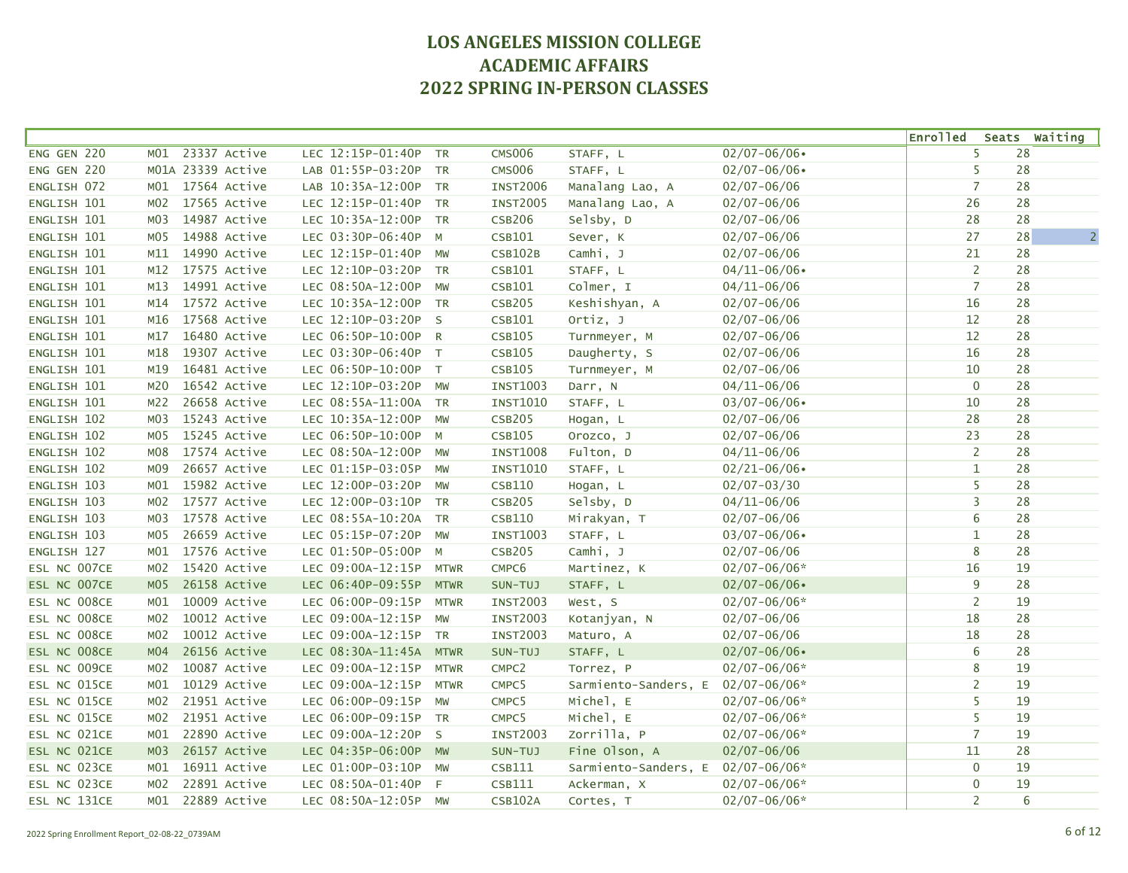|              |                  |                   |                      |              |                   |                                   |                  | <b>Enrolled</b> | Seats Waiting        |
|--------------|------------------|-------------------|----------------------|--------------|-------------------|-----------------------------------|------------------|-----------------|----------------------|
| ENG GEN 220  | M01              | 23337 Active      | LEC 12:15P-01:40P    | <b>TR</b>    | <b>CMS006</b>     | STAFF, L                          | $02/07 - 06/06$  | 5               | 28                   |
| ENG GEN 220  |                  | M01A 23339 Active | LAB 01:55P-03:20P    | TR           | <b>CMS006</b>     | STAFF, L                          | $02/07 - 06/06$  | 5               | 28                   |
| ENGLISH 072  | MO1              | 17564 Active      | LAB 10:35A-12:00P    | <b>TR</b>    | <b>INST2006</b>   | Manalang Lao, A                   | $02/07 - 06/06$  | $\overline{7}$  | 28                   |
| ENGLISH 101  | M02              | 17565 Active      | LEC 12:15P-01:40P    | <b>TR</b>    | <b>INST2005</b>   | Manalang Lao, A                   | $02/07 - 06/06$  | 26              | 28                   |
| ENGLISH 101  | MO3              | 14987 Active      | LEC 10:35A-12:00P    | <b>TR</b>    | <b>CSB206</b>     | Selsby, D                         | $02/07 - 06/06$  | 28              | 28                   |
| ENGLISH 101  | MO5              | 14988 Active      | LEC 03:30P-06:40P    | M            | CSB101            | Sever, K                          | $02/07 - 06/06$  | 27              | $\overline{2}$<br>28 |
| ENGLISH 101  | M11              | 14990 Active      | LEC 12:15P-01:40P    | MW           | <b>CSB102B</b>    | Camhi, J                          | $02/07 - 06/06$  | 21              | 28                   |
| ENGLISH 101  | M12              | 17575 Active      | LEC 12:10P-03:20P TR |              | CSB101            | STAFF, L                          | $04/11 - 06/06$  | 2               | 28                   |
| ENGLISH 101  | M13              | 14991 Active      | LEC 08:50A-12:00P    | MW           | CSB101            | Colmer, I                         | $04/11 - 06/06$  | $\overline{7}$  | 28                   |
| ENGLISH 101  | M14              | 17572 Active      | LEC 10:35A-12:00P TR |              | <b>CSB205</b>     | Keshishyan, A                     | $02/07 - 06/06$  | 16              | 28                   |
| ENGLISH 101  | M16              | 17568 Active      | LEC 12:10P-03:20P S  |              | CSB101            | Ortiz, J                          | $02/07 - 06/06$  | 12              | 28                   |
| ENGLISH 101  | M17              | 16480 Active      | LEC 06:50P-10:00P R  |              | <b>CSB105</b>     | Turnmeyer, M                      | $02/07 - 06/06$  | 12              | 28                   |
| ENGLISH 101  | M18              | 19307 Active      | LEC 03:30P-06:40P    | T            | <b>CSB105</b>     | Daugherty, S                      | $02/07 - 06/06$  | 16              | 28                   |
| ENGLISH 101  | M19              | 16481 Active      | LEC 06:50P-10:00P T  |              | <b>CSB105</b>     | Turnmeyer, M                      | $02/07 - 06/06$  | 10              | 28                   |
| ENGLISH 101  | M20              | 16542 Active      | LEC 12:10P-03:20P MW |              | <b>INST1003</b>   | Darr, N                           | $04/11 - 06/06$  | $\mathbf 0$     | 28                   |
| ENGLISH 101  | M22              | 26658 Active      | LEC 08:55A-11:00A TR |              | <b>INST1010</b>   | STAFF, L                          | $03/07 - 06/06$  | 10              | 28                   |
| ENGLISH 102  | MO3              | 15243 Active      | LEC 10:35A-12:00P    | <b>MW</b>    | <b>CSB205</b>     | Hogan, L                          | $02/07 - 06/06$  | 28              | 28                   |
| ENGLISH 102  | M <sub>0</sub> 5 | 15245 Active      | LEC 06:50P-10:00P    | M            | <b>CSB105</b>     | Orozco, J                         | $02/07 - 06/06$  | 23              | 28                   |
| ENGLISH 102  | M08              | 17574 Active      | LEC 08:50A-12:00P    | MW           | <b>INST1008</b>   | Fulton, D                         | $04/11 - 06/06$  | $\overline{2}$  | 28                   |
| ENGLISH 102  | M09              | 26657 Active      | LEC 01:15P-03:05P    | MW           | <b>INST1010</b>   | STAFF, L                          | $02/21 - 06/06$  | $\mathbf{1}$    | 28                   |
| ENGLISH 103  | M01              | 15982 Active      | LEC 12:00P-03:20P    | <b>MW</b>    | <b>CSB110</b>     | Hogan, L                          | $02/07 - 03/30$  | 5               | 28                   |
| ENGLISH 103  | M02              | 17577 Active      | LEC 12:00P-03:10P    | <b>TR</b>    | <b>CSB205</b>     | Selsby, D                         | $04/11 - 06/06$  | 3               | 28                   |
| ENGLISH 103  | M03              | 17578 Active      | LEC 08:55A-10:20A TR |              | <b>CSB110</b>     | Mirakyan, T                       | $02/07 - 06/06$  | 6               | 28                   |
| ENGLISH 103  | M <sub>0</sub> 5 | 26659 Active      | LEC 05:15P-07:20P    | <b>MW</b>    | <b>INST1003</b>   | STAFF, L                          | $03/07 - 06/06$  | 1               | 28                   |
| ENGLISH 127  | M01              | 17576 Active      | LEC 01:50P-05:00P    | M            | <b>CSB205</b>     | Camhi, J                          | $02/07 - 06/06$  | $\bf 8$         | 28                   |
| ESL NC 007CE | MO2              | 15420 Active      | LEC 09:00A-12:15P    | <b>MTWR</b>  | CMPC6             | Martinez, K                       | $02/07 - 06/06*$ | 16              | 19                   |
| ESL NC 007CE | M <sub>05</sub>  | 26158 Active      | LEC 06:40P-09:55P    | <b>MTWR</b>  | SUN-TUJ           | STAFF, L                          | $02/07 - 06/06$  | 9               | 28                   |
| ESL NC 008CE | M <sub>01</sub>  | 10009 Active      | LEC 06:00P-09:15P    | <b>MTWR</b>  | <b>INST2003</b>   | West, S                           | $02/07 - 06/06*$ | $\overline{2}$  | 19                   |
| ESL NC 008CE | M <sub>02</sub>  | 10012 Active      | LEC 09:00A-12:15P    | MW           | <b>INST2003</b>   | Kotanjyan, N                      | $02/07 - 06/06$  | 18              | 28                   |
| ESL NC 008CE | M <sub>02</sub>  | 10012 Active      | LEC 09:00A-12:15P    | <b>TR</b>    | <b>INST2003</b>   | Maturo, A                         | $02/07 - 06/06$  | 18              | 28                   |
| ESL NC 008CE | M <sub>04</sub>  | 26156 Active      | LEC 08:30A-11:45A    | <b>MTWR</b>  | SUN-TUJ           | STAFF, L                          | $02/07 - 06/06$  | 6               | 28                   |
| ESL NC 009CE | M02              | 10087 Active      | LEC 09:00A-12:15P    | <b>MTWR</b>  | CMPC <sub>2</sub> | Torrez, P                         | $02/07 - 06/06*$ | 8               | 19                   |
| ESL NC 015CE | MO1              | 10129 Active      | LEC 09:00A-12:15P    | <b>MTWR</b>  | CMPC5             | Sarmiento-Sanders, E 02/07-06/06* |                  | $\overline{2}$  | 19                   |
| ESL NC 015CE | M02              | 21951 Active      | LEC 06:00P-09:15P    | <b>MW</b>    | CMPC5             | Michel, E                         | $02/07 - 06/06*$ | 5               | 19                   |
| ESL NC 015CE | M02              | 21951 Active      | LEC 06:00P-09:15P    | <b>TR</b>    | CMPC5             | Michel, E                         | $02/07 - 06/06*$ | 5               | 19                   |
| ESL NC 021CE | M01              | 22890 Active      | LEC 09:00A-12:20P    | $\mathsf{S}$ | <b>INST2003</b>   | Zorrilla, P                       | $02/07 - 06/06*$ | $\overline{7}$  | 19                   |
| ESL NC 021CE | MO3              | 26157 Active      | LEC 04:35P-06:00P    | <b>MW</b>    | SUN-TUJ           | Fine Olson, A                     | $02/07 - 06/06$  | 11              | 28                   |
| ESL NC 023CE | M01              | 16911 Active      | LEC 01:00P-03:10P    | <b>MW</b>    | CSB111            | Sarmiento-Sanders, E 02/07-06/06* |                  | $\mathbf 0$     | 19                   |
| ESL NC 023CE | M02              | 22891 Active      | LEC 08:50A-01:40P    | F            | CSB111            | Ackerman, X                       | $02/07 - 06/06*$ | $\mathbf 0$     | 19                   |
| ESL NC 131CE | M01              | 22889 Active      | LEC 08:50A-12:05P MW |              | <b>CSB102A</b>    | Cortes, T                         | 02/07-06/06*     | $\overline{2}$  | 6                    |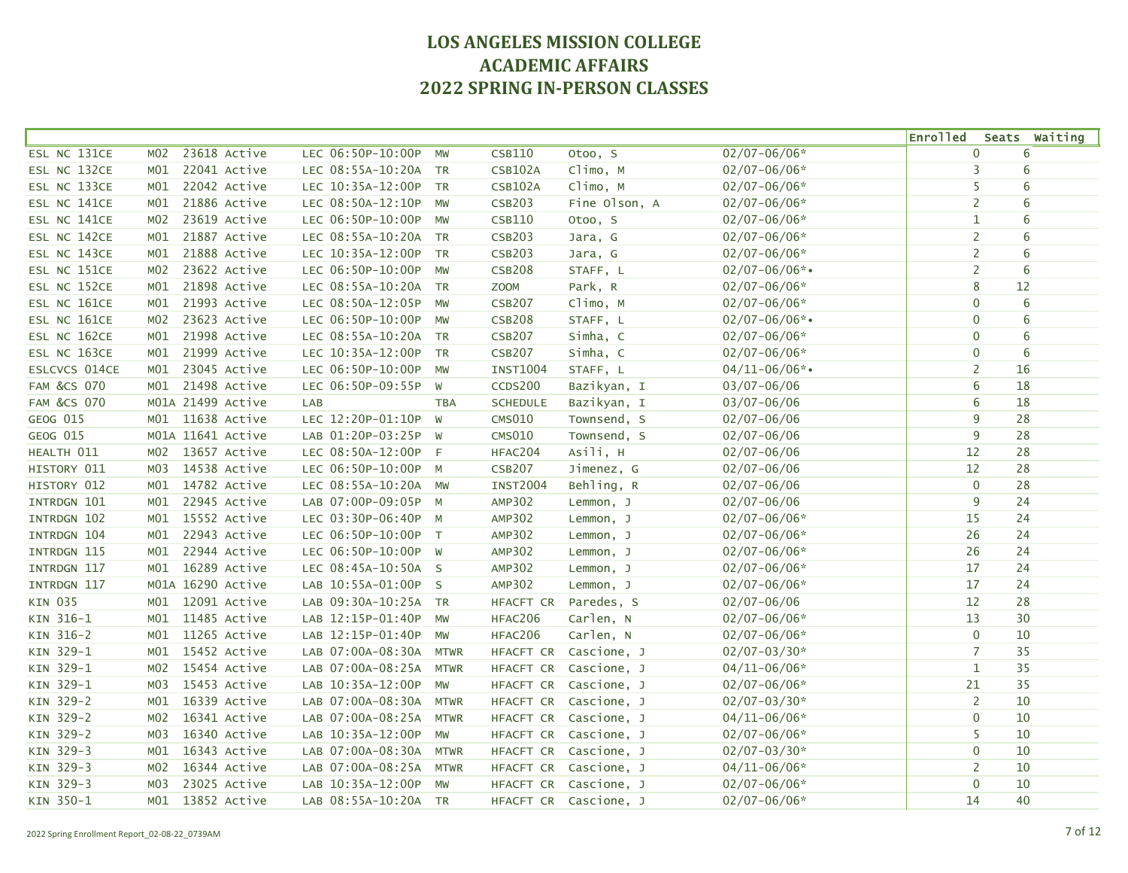|                        |                  |                   |                      |             |                 |                       |                    | <b>Enrolled</b> |    | Seats Waiting   |
|------------------------|------------------|-------------------|----------------------|-------------|-----------------|-----------------------|--------------------|-----------------|----|-----------------|
| ESL NC 131CE           | M <sub>0</sub> 2 | 23618 Active      | LEC 06:50P-10:00P    | MW          | <b>CSB110</b>   | Otoo, S               | $02/07 - 06/06*$   | $\mathbf 0$     |    | 6               |
| ESL NC 132CE           | MO1              | 22041 Active      | LEC 08:55A-10:20A TR |             | <b>CSB102A</b>  | Climo, M              | $02/07 - 06/06*$   | 3               |    | 6               |
| ESL NC 133CE           | MO1              | 22042 Active      | LEC 10:35A-12:00P TR |             | CSB102A         | Climo, M              | $02/07 - 06/06*$   | 5               |    | 6               |
| ESL NC 141CE           | M01              | 21886 Active      | LEC 08:50A-12:10P    | MW          | <b>CSB203</b>   | Fine Olson, A         | $02/07 - 06/06*$   | $\overline{2}$  |    | 6               |
| ESL NC 141CE           | M02              | 23619 Active      | LEC 06:50P-10:00P    | MW          | CSB110          | Otoo, S               | $02/07 - 06/06*$   | $\mathbf{1}$    |    | $6\phantom{1}6$ |
| ESL NC 142CE           | M <sub>01</sub>  | 21887 Active      | LEC 08:55A-10:20A TR |             | <b>CSB203</b>   | Jara, G               | $02/07 - 06/06*$   | $\overline{2}$  |    | 6               |
| ESL NC 143CE           | MO1              | 21888 Active      | LEC 10:35A-12:00P    | <b>TR</b>   | <b>CSB203</b>   | Jara, G               | $02/07 - 06/06*$   | $\overline{2}$  |    | 6               |
| ESL NC 151CE           | M02              | 23622 Active      | LEC 06:50P-10:00P    | <b>MW</b>   | <b>CSB208</b>   | STAFF, L              | $02/07 - 06/06$ *• | $\overline{2}$  |    | 6               |
| ESL NC 152CE           | MO1              | 21898 Active      | LEC 08:55A-10:20A TR |             | <b>ZOOM</b>     | Park, R               | $02/07 - 06/06*$   | 8               | 12 |                 |
| ESL NC 161CE           | MO1              | 21993 Active      | LEC 08:50A-12:05P MW |             | <b>CSB207</b>   | Climo, M              | $02/07 - 06/06*$   | $\mathbf 0$     |    | 6               |
| ESL NC 161CE           | M02              | 23623 Active      | LEC 06:50P-10:00P    | MW          | <b>CSB208</b>   | STAFF, L              | $02/07 - 06/06$ *• | $\mathbf 0$     |    | 6               |
| ESL NC 162CE           | MO1              | 21998 Active      | LEC 08:55A-10:20A TR |             | <b>CSB207</b>   | Simha, C              | $02/07 - 06/06*$   | $\mathbf 0$     |    | 6               |
| ESL NC 163CE           | MO1              | 21999 Active      | LEC 10:35A-12:00P    | TR          | <b>CSB207</b>   | Simha, C              | $02/07 - 06/06*$   | $\mathbf 0$     |    | 6               |
| ESLCVCS 014CE          | MO1              | 23045 Active      | LEC 06:50P-10:00P    | MW          | <b>INST1004</b> | STAFF, L              | $04/11 - 06/06$ *• | 2               | 16 |                 |
| <b>FAM &amp;CS 070</b> | MO1              | 21498 Active      | LEC 06:50P-09:55P    | W           | CCDS200         | Bazikyan, I           | $03/07 - 06/06$    | 6               | 18 |                 |
| <b>FAM &amp;CS 070</b> |                  | M01A 21499 Active | LAB                  | <b>TBA</b>  | <b>SCHEDULE</b> | Bazikyan, I           | 03/07-06/06        | 6               | 18 |                 |
| GEOG 015               |                  | M01 11638 Active  | LEC 12:20P-01:10P    | W           | <b>CMS010</b>   | Townsend, S           | $02/07 - 06/06$    | 9               | 28 |                 |
| GEOG 015               |                  | M01A 11641 Active | LAB 01:20P-03:25P W  |             | <b>CMS010</b>   | Townsend, S           | $02/07 - 06/06$    | 9               | 28 |                 |
| HEALTH 011             | MO2              | 13657 Active      | LEC 08:50A-12:00P F  |             | HFAC204         | Asili, H              | $02/07 - 06/06$    | 12              | 28 |                 |
| HISTORY 011            | M03              | 14538 Active      | LEC 06:50P-10:00P M  |             | <b>CSB207</b>   | Jimenez, G            | $02/07 - 06/06$    | 12              | 28 |                 |
| HISTORY 012            | MO1              | 14782 Active      | LEC 08:55A-10:20A MW |             | <b>INST2004</b> | Behling, R            | $02/07 - 06/06$    | $\mathbf 0$     | 28 |                 |
| INTRDGN 101            | MO1              | 22945 Active      | LAB 07:00P-09:05P M  |             | AMP302          | Lemmon, J             | $02/07 - 06/06$    | 9               | 24 |                 |
| INTRDGN 102            | MO1              | 15552 Active      | LEC 03:30P-06:40P M  |             | <b>AMP302</b>   | Lemmon, J             | $02/07 - 06/06*$   | 15              | 24 |                 |
| INTRDGN 104            | M01              | 22943 Active      | LEC 06:50P-10:00P T  |             | <b>AMP302</b>   | Lemmon, J             | $02/07 - 06/06*$   | 26              | 24 |                 |
| INTRDGN 115            | M01              | 22944 Active      | LEC 06:50P-10:00P W  |             | <b>AMP302</b>   | Lemmon, J             | $02/07 - 06/06*$   | 26              | 24 |                 |
| INTRDGN 117            | MO1              | 16289 Active      | LEC 08:45A-10:50A S  |             | <b>AMP302</b>   | Lemmon, J             | $02/07 - 06/06*$   | 17              | 24 |                 |
| INTRDGN 117            |                  | M01A 16290 Active | LAB 10:55A-01:00P S  |             | <b>AMP302</b>   | Lemmon, J             | $02/07 - 06/06*$   | 17              | 24 |                 |
| KIN 035                | MO1              | 12091 Active      | LAB 09:30A-10:25A TR |             | HFACFT CR       | Paredes, S            | $02/07 - 06/06$    | 12              | 28 |                 |
| KIN 316-1              | MO1              | 11485 Active      | LAB 12:15P-01:40P    | MW          | HFAC206         | Carlen, N             | $02/07 - 06/06*$   | 13              | 30 |                 |
| KIN 316-2              | M <sub>01</sub>  | 11265 Active      | LAB 12:15P-01:40P    | MW          | HFAC206         | Carlen, N             | $02/07 - 06/06*$   | $\mathbf 0$     | 10 |                 |
| KIN 329-1              | MO1              | 15452 Active      | LAB 07:00A-08:30A    | <b>MTWR</b> | HFACFT CR       | Cascione, J           | $02/07 - 03/30*$   | 7               | 35 |                 |
| KIN 329-1              | MO2              | 15454 Active      | LAB 07:00A-08:25A    | <b>MTWR</b> |                 | HFACFT CR Cascione, J | $04/11 - 06/06*$   | $\mathbf{1}$    | 35 |                 |
| KIN 329-1              | M03              | 15453 Active      | LAB 10:35A-12:00P    | MW          | HFACFT CR       | Cascione, J           | $02/07 - 06/06*$   | 21              | 35 |                 |
| KIN 329-2              | MO1              | 16339 Active      | LAB 07:00A-08:30A    | <b>MTWR</b> |                 | HFACFT CR Cascione, J | $02/07 - 03/30*$   | $\overline{2}$  | 10 |                 |
| KIN 329-2              | M02              | 16341 Active      | LAB 07:00A-08:25A    | <b>MTWR</b> |                 | HFACFT CR Cascione, J | $04/11 - 06/06*$   | $\mathbf 0$     | 10 |                 |
| KIN 329-2              | M03              | 16340 Active      | LAB 10:35A-12:00P    | <b>MW</b>   |                 | HFACFT CR Cascione, J | $02/07 - 06/06*$   | 5               | 10 |                 |
| KIN 329-3              | M <sub>01</sub>  | 16343 Active      | LAB 07:00A-08:30A    | <b>MTWR</b> |                 | HFACFT CR Cascione, J | $02/07 - 03/30*$   | $\mathbf 0$     | 10 |                 |
| KIN 329-3              | M02              | 16344 Active      | LAB 07:00A-08:25A    | <b>MTWR</b> |                 | HFACFT CR Cascione, J | $04/11 - 06/06*$   | 2               | 10 |                 |
| KIN 329-3              | M03              | 23025 Active      | LAB 10:35A-12:00P    | MW          |                 | HFACFT CR Cascione, J | $02/07 - 06/06*$   | $\mathbf 0$     | 10 |                 |
| KIN 350-1              | MO1              | 13852 Active      | LAB 08:55A-10:20A TR |             |                 | HFACFT CR Cascione, J | $02/07 - 06/06*$   | 14              | 40 |                 |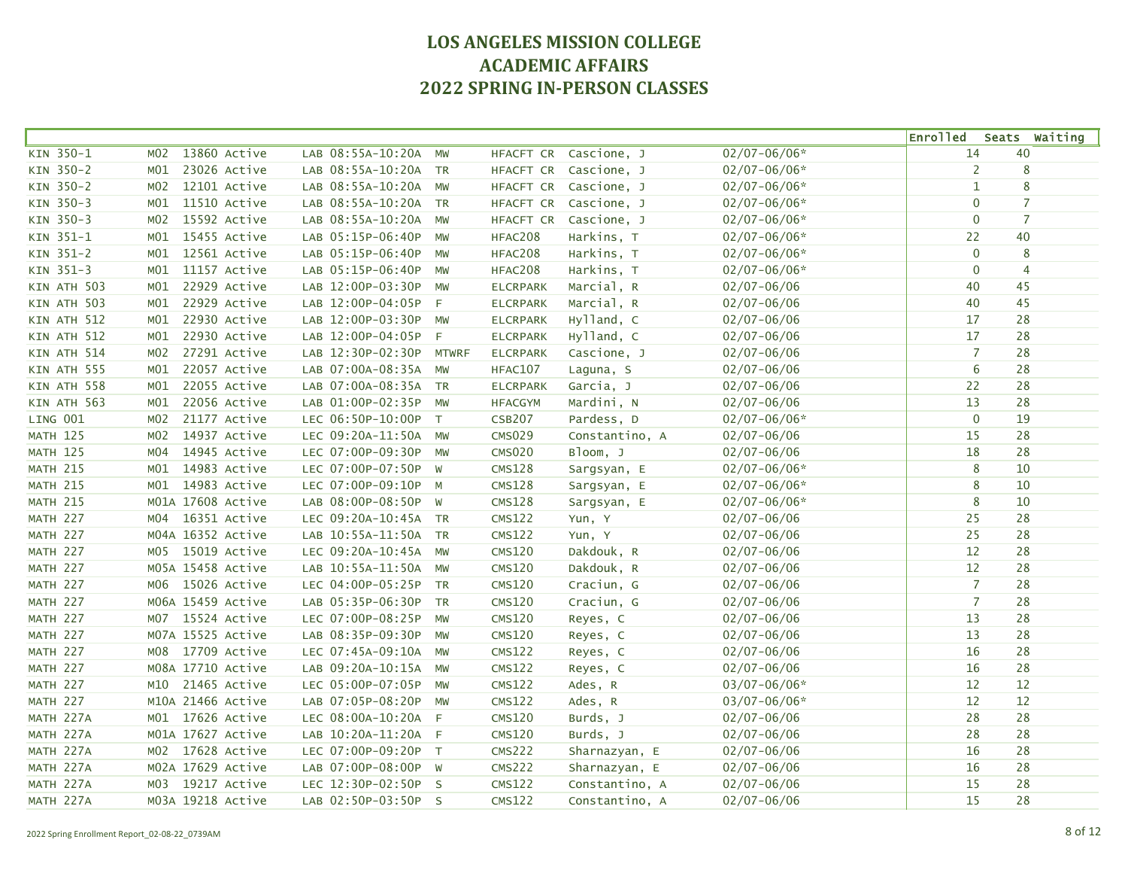|                 |                   |                   |                      |              |                 |                       |                  | <b>Enrolled</b> |    | Seats Waiting  |
|-----------------|-------------------|-------------------|----------------------|--------------|-----------------|-----------------------|------------------|-----------------|----|----------------|
| KIN 350-1       | M <sub>0</sub> 2  | 13860 Active      | LAB 08:55A-10:20A    | <b>MW</b>    | HFACFT CR       | Cascione, J           | $02/07 - 06/06*$ | 14              | 40 |                |
| KIN 350-2       | M01               | 23026 Active      | LAB 08:55A-10:20A TR |              | HFACFT CR       | Cascione, J           | $02/07 - 06/06*$ | 2               |    | 8              |
| KIN 350-2       | M02               | 12101 Active      | LAB 08:55A-10:20A    | MW           |                 | HFACFT CR Cascione, J | $02/07 - 06/06*$ | 1               |    | 8              |
| KIN 350-3       | MO1               | 11510 Active      | LAB 08:55A-10:20A TR |              |                 | HFACFT CR Cascione, J | $02/07 - 06/06*$ | $\mathbf 0$     |    | $\overline{7}$ |
| KIN 350-3       | M02               | 15592 Active      | LAB 08:55A-10:20A MW |              | HFACFT CR       | Cascione, J           | $02/07 - 06/06*$ | $\mathbf 0$     |    | $\overline{7}$ |
| KIN 351-1       | MO1               | 15455 Active      | LAB 05:15P-06:40P    | MW           | HFAC208         | Harkins, T            | $02/07 - 06/06*$ | 22              | 40 |                |
| KIN 351-2       | MO1               | 12561 Active      | LAB 05:15P-06:40P    | MW           | HFAC208         | Harkins, T            | $02/07 - 06/06*$ | $\mathbf 0$     |    | 8              |
| KIN 351-3       | MO1               | 11157 Active      | LAB 05:15P-06:40P    | MW           | HFAC208         | Harkins, T            | $02/07 - 06/06*$ | $\mathbf 0$     |    | $\overline{4}$ |
| KIN ATH 503     | MO1               | 22929 Active      | LAB 12:00P-03:30P MW |              | <b>ELCRPARK</b> | Marcial, R            | $02/07 - 06/06$  | 40              | 45 |                |
| KIN ATH 503     | MO1               | 22929 Active      | LAB 12:00P-04:05P F  |              | <b>ELCRPARK</b> | Marcial, R            | $02/07 - 06/06$  | 40              | 45 |                |
| KIN ATH 512     | MO1               | 22930 Active      | LAB 12:00P-03:30P    | MW           | <b>ELCRPARK</b> | Hylland, C            | $02/07 - 06/06$  | 17              | 28 |                |
| KIN ATH 512     | M <sub>01</sub>   | 22930 Active      | LAB 12:00P-04:05P    | F            | <b>ELCRPARK</b> | Hylland, C            | $02/07 - 06/06$  | 17              | 28 |                |
| KIN ATH 514     | M02               | 27291 Active      | LAB 12:30P-02:30P    | <b>MTWRF</b> | <b>ELCRPARK</b> | Cascione, J           | $02/07 - 06/06$  | $\overline{7}$  | 28 |                |
| KIN ATH 555     | MO1               | 22057 Active      | LAB 07:00A-08:35A    | MW           | HFAC107         | Laguna, S             | $02/07 - 06/06$  | 6               | 28 |                |
| KIN ATH 558     | M <sub>01</sub>   | 22055 Active      | LAB 07:00A-08:35A TR |              | <b>ELCRPARK</b> | Garcia, J             | $02/07 - 06/06$  | 22              | 28 |                |
| KIN ATH 563     | M <sub>01</sub>   | 22056 Active      | LAB 01:00P-02:35P    | <b>MW</b>    | <b>HFACGYM</b>  | Mardini, N            | $02/07 - 06/06$  | 13              | 28 |                |
| LING 001        | M02               | 21177 Active      | LEC 06:50P-10:00P    | T            | <b>CSB207</b>   | Pardess, D            | $02/07 - 06/06*$ | $\mathbf 0$     | 19 |                |
| <b>MATH 125</b> | M02               | 14937 Active      | LEC 09:20A-11:50A MW |              | <b>CMS029</b>   | Constantino, A        | $02/07 - 06/06$  | 15              | 28 |                |
| <b>MATH 125</b> | M04               | 14945 Active      | LEC 07:00P-09:30P    | <b>MW</b>    | <b>CMS020</b>   | Bloom, J              | $02/07 - 06/06$  | 18              | 28 |                |
| <b>MATH 215</b> | MO1               | 14983 Active      | LEC 07:00P-07:50P W  |              | <b>CMS128</b>   | Sargsyan, E           | $02/07 - 06/06*$ | 8               | 10 |                |
| <b>MATH 215</b> | MO1               | 14983 Active      | LEC 07:00P-09:10P M  |              | <b>CMS128</b>   | Sargsyan, E           | $02/07 - 06/06*$ | 8               | 10 |                |
| <b>MATH 215</b> |                   | M01A 17608 Active | LAB 08:00P-08:50P W  |              | <b>CMS128</b>   | Sargsyan, E           | $02/07 - 06/06*$ | 8               | 10 |                |
| MATH 227        | M04               | 16351 Active      | LEC 09:20A-10:45A TR |              | CMS122          | Yun, Y                | $02/07 - 06/06$  | 25              | 28 |                |
| <b>MATH 227</b> | M04A 16352 Active |                   | LAB 10:55A-11:50A TR |              | <b>CMS122</b>   | Yun, Y                | $02/07 - 06/06$  | 25              | 28 |                |
| MATH 227        | M05 15019 Active  |                   | LEC 09:20A-10:45A    | MW           | <b>CMS120</b>   | Dakdouk, R            | $02/07 - 06/06$  | 12              | 28 |                |
| <b>MATH 227</b> |                   | M05A 15458 Active | LAB 10:55A-11:50A    | MW           | <b>CMS120</b>   | Dakdouk, R            | $02/07 - 06/06$  | 12              | 28 |                |
| <b>MATH 227</b> |                   | M06 15026 Active  | LEC 04:00P-05:25P    | <b>TR</b>    | <b>CMS120</b>   | Craciun, G            | $02/07 - 06/06$  | $\overline{7}$  | 28 |                |
| <b>MATH 227</b> | M06A 15459 Active |                   | LAB 05:35P-06:30P    | <b>TR</b>    | <b>CMS120</b>   | Craciun, G            | $02/07 - 06/06$  | $\overline{7}$  | 28 |                |
| <b>MATH 227</b> | M07 15524 Active  |                   | LEC 07:00P-08:25P    | <b>MW</b>    | <b>CMS120</b>   | Reyes, C              | $02/07 - 06/06$  | 13              | 28 |                |
| <b>MATH 227</b> |                   | M07A 15525 Active | LAB 08:35P-09:30P    | MW           | <b>CMS120</b>   | Reyes, C              | $02/07 - 06/06$  | 13              | 28 |                |
| MATH 227        |                   | M08 17709 Active  | LEC 07:45A-09:10A    | MW           | <b>CMS122</b>   | Reyes, C              | $02/07 - 06/06$  | 16              | 28 |                |
| MATH 227        |                   | M08A 17710 Active | LAB 09:20A-10:15A MW |              | <b>CMS122</b>   | Reyes, C              | $02/07 - 06/06$  | 16              | 28 |                |
| MATH 227        | M10               | 21465 Active      | LEC 05:00P-07:05P    | MW           | <b>CMS122</b>   | Ades, R               | $03/07 - 06/06*$ | 12              | 12 |                |
| <b>MATH 227</b> | M10A 21466 Active |                   | LAB 07:05P-08:20P    | <b>MW</b>    | <b>CMS122</b>   | Ades, R               | 03/07-06/06*     | 12              | 12 |                |
| MATH 227A       | M01               | 17626 Active      | LEC 08:00A-10:20A F  |              | <b>CMS120</b>   | Burds, J              | $02/07 - 06/06$  | 28              | 28 |                |
| MATH 227A       |                   | M01A 17627 Active | LAB 10:20A-11:20A F  |              | <b>CMS120</b>   | Burds, J              | $02/07 - 06/06$  | 28              | 28 |                |
| MATH 227A       |                   | M02 17628 Active  | LEC 07:00P-09:20P T  |              | <b>CMS222</b>   | Sharnazyan, E         | $02/07 - 06/06$  | 16              | 28 |                |
| MATH 227A       |                   | M02A 17629 Active | LAB 07:00P-08:00P W  |              | <b>CMS222</b>   | Sharnazyan, E         | $02/07 - 06/06$  | 16              | 28 |                |
| MATH 227A       | M03 19217 Active  |                   | LEC 12:30P-02:50P S  |              | <b>CMS122</b>   | Constantino, A        | $02/07 - 06/06$  | 15              | 28 |                |
| MATH 227A       |                   | M03A 19218 Active | LAB 02:50P-03:50P S  |              | <b>CMS122</b>   | Constantino, A        | $02/07 - 06/06$  | 15              | 28 |                |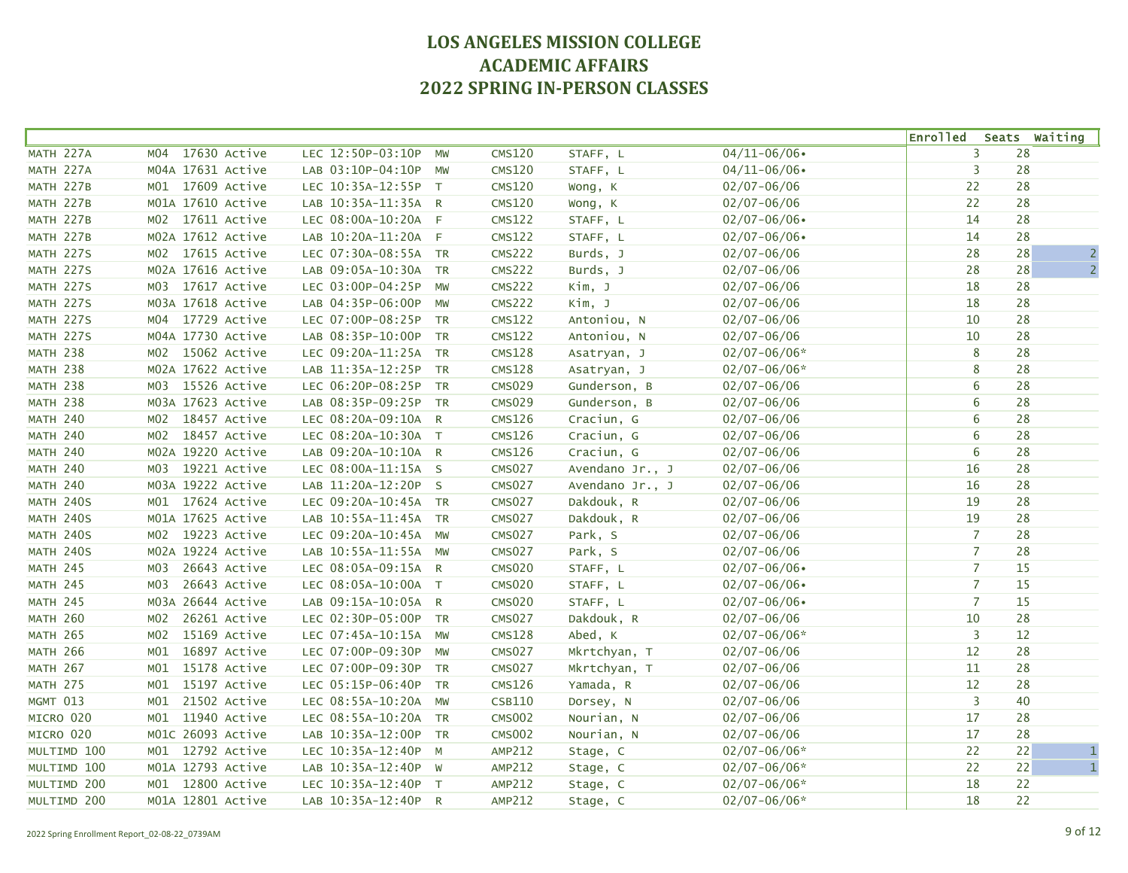|                  |                     |                      |                |               |                 |                  | <b>Enrolled</b> |    | Seats Waiting  |
|------------------|---------------------|----------------------|----------------|---------------|-----------------|------------------|-----------------|----|----------------|
| MATH 227A        | 17630 Active<br>M04 | LEC 12:50P-03:10P    | <b>MW</b>      | <b>CMS120</b> | STAFF, L        | $04/11 - 06/06$  | 3               | 28 |                |
| MATH 227A        | M04A 17631 Active   | LAB 03:10P-04:10P    | MW             | <b>CMS120</b> | STAFF, L        | $04/11 - 06/06$  | 3               | 28 |                |
| MATH 227B        | M01 17609 Active    | LEC 10:35A-12:55P T  |                | <b>CMS120</b> | Wong, K         | $02/07 - 06/06$  | 22              | 28 |                |
| MATH 227B        | M01A 17610 Active   | LAB 10:35A-11:35A R  |                | <b>CMS120</b> | Wong, K         | $02/07 - 06/06$  | 22              | 28 |                |
| MATH 227B        | M02 17611 Active    | LEC 08:00A-10:20A F  |                | <b>CMS122</b> | STAFF, L        | $02/07 - 06/06$  | 14              | 28 |                |
| MATH 227B        | M02A 17612 Active   | LAB 10:20A-11:20A F  |                | <b>CMS122</b> | STAFF, L        | $02/07 - 06/06$  | 14              | 28 |                |
| MATH 227S        | M02 17615 Active    | LEC 07:30A-08:55A TR |                | <b>CMS222</b> | Burds, J        | $02/07 - 06/06$  | 28              | 28 | $\overline{2}$ |
| MATH 227S        | M02A 17616 Active   | LAB 09:05A-10:30A    | <b>TR</b>      | <b>CMS222</b> | Burds, J        | $02/07 - 06/06$  | 28              | 28 | $\overline{2}$ |
| MATH 227S        | M03 17617 Active    | LEC 03:00P-04:25P    | MW             | <b>CMS222</b> | Kim, J          | $02/07 - 06/06$  | 18              | 28 |                |
| MATH 227S        | M03A 17618 Active   | LAB 04:35P-06:00P    | MW             | <b>CMS222</b> | Kim, J          | $02/07 - 06/06$  | 18              | 28 |                |
| MATH 227S        | M04 17729 Active    | LEC 07:00P-08:25P    | TR             | <b>CMS122</b> | Antoniou, N     | $02/07 - 06/06$  | 10              | 28 |                |
| MATH 227S        | M04A 17730 Active   | LAB 08:35P-10:00P    | <b>TR</b>      | <b>CMS122</b> | Antoniou, N     | $02/07 - 06/06$  | 10              | 28 |                |
| <b>MATH 238</b>  | 15062 Active<br>MO2 | LEC 09:20A-11:25A TR |                | <b>CMS128</b> | Asatryan, J     | 02/07-06/06*     | 8               | 28 |                |
| <b>MATH 238</b>  | M02A 17622 Active   | LAB 11:35A-12:25P    | <b>TR</b>      | <b>CMS128</b> | Asatryan, J     | $02/07 - 06/06*$ | 8               | 28 |                |
| <b>MATH 238</b>  | M03 15526 Active    | LEC 06:20P-08:25P TR |                | <b>CMS029</b> | Gunderson, B    | $02/07 - 06/06$  | 6               | 28 |                |
| <b>MATH 238</b>  | M03A 17623 Active   | LAB 08:35P-09:25P TR |                | <b>CMS029</b> | Gunderson, B    | $02/07 - 06/06$  | 6               | 28 |                |
| <b>MATH 240</b>  | M02 18457 Active    | LEC 08:20A-09:10A R  |                | <b>CMS126</b> | Craciun, G      | $02/07 - 06/06$  | 6               | 28 |                |
| <b>MATH 240</b>  | 18457 Active<br>MO2 | LEC 08:20A-10:30A T  |                | CMS126        | Craciun, G      | $02/07 - 06/06$  | 6               | 28 |                |
| <b>MATH 240</b>  | M02A 19220 Active   | LAB 09:20A-10:10A R  |                | <b>CMS126</b> | Craciun, G      | $02/07 - 06/06$  | 6               | 28 |                |
| <b>MATH 240</b>  | M03 19221 Active    | LEC 08:00A-11:15A S  |                | <b>CMS027</b> | Avendano Jr., J | $02/07 - 06/06$  | 16              | 28 |                |
| <b>MATH 240</b>  | M03A 19222 Active   | LAB 11:20A-12:20P S  |                | <b>CMS027</b> | Avendano Jr., J | $02/07 - 06/06$  | 16              | 28 |                |
| MATH 240S        | M01 17624 Active    | LEC 09:20A-10:45A TR |                | <b>CMS027</b> | Dakdouk, R      | $02/07 - 06/06$  | 19              | 28 |                |
| <b>MATH 240S</b> | M01A 17625 Active   | LAB 10:55A-11:45A TR |                | <b>CMS027</b> | Dakdouk, R      | $02/07 - 06/06$  | 19              | 28 |                |
| MATH 240S        | 19223 Active<br>M02 | LEC 09:20A-10:45A    | MW             | <b>CMS027</b> | Park, S         | $02/07 - 06/06$  | $\overline{7}$  | 28 |                |
| MATH 240S        | M02A 19224 Active   | LAB 10:55A-11:55A MW |                | <b>CMS027</b> | Park, S         | $02/07 - 06/06$  | $\overline{7}$  | 28 |                |
| <b>MATH 245</b>  | 26643 Active<br>M03 | LEC 08:05A-09:15A R  |                | <b>CMS020</b> | STAFF, L        | $02/07 - 06/06$  | $\overline{7}$  | 15 |                |
| <b>MATH 245</b>  | 26643 Active<br>M03 | LEC 08:05A-10:00A T  |                | <b>CMS020</b> | STAFF, L        | $02/07 - 06/06$  | $\overline{7}$  | 15 |                |
| <b>MATH 245</b>  | M03A 26644 Active   | LAB 09:15A-10:05A R  |                | <b>CMS020</b> | STAFF, L        | $02/07 - 06/06$  | $\overline{7}$  | 15 |                |
| <b>MATH 260</b>  | 26261 Active<br>M02 | LEC 02:30P-05:00P TR |                | <b>CMS027</b> | Dakdouk, R      | $02/07 - 06/06$  | 10              | 28 |                |
| <b>MATH 265</b>  | 15169 Active<br>M02 | LEC 07:45A-10:15A    | MW             | <b>CMS128</b> | Abed, K         | $02/07 - 06/06*$ | 3               | 12 |                |
| <b>MATH 266</b>  | 16897 Active<br>MO1 | LEC 07:00P-09:30P    | MW             | <b>CMS027</b> | Mkrtchyan, T    | $02/07 - 06/06$  | 12              | 28 |                |
| <b>MATH 267</b>  | 15178 Active<br>MO1 | LEC 07:00P-09:30P TR |                | <b>CMS027</b> | Mkrtchyan, T    | $02/07 - 06/06$  | 11              | 28 |                |
| <b>MATH 275</b>  | 15197 Active<br>MO1 | LEC 05:15P-06:40P    | <b>TR</b>      | <b>CMS126</b> | Yamada, R       | $02/07 - 06/06$  | 12              | 28 |                |
| MGMT 013         | 21502 Active<br>MO1 | LEC 08:55A-10:20A    | MW             | <b>CSB110</b> | Dorsey, N       | $02/07 - 06/06$  | 3               | 40 |                |
| MICRO 020        | 11940 Active<br>MO1 | LEC 08:55A-10:20A TR |                | <b>CMS002</b> | Nourian, N      | $02/07 - 06/06$  | 17              | 28 |                |
| MICRO 020        | M01C 26093 Active   | LAB 10:35A-12:00P    | <b>TR</b>      | <b>CMS002</b> | Nourian, N      | $02/07 - 06/06$  | 17              | 28 |                |
| MULTIMD 100      | M01 12792 Active    | LEC 10:35A-12:40P    | M              | AMP212        | Stage, C        | $02/07 - 06/06*$ | 22              | 22 | $\mathbf 1$    |
| MULTIMD 100      | M01A 12793 Active   | LAB 10:35A-12:40P W  |                | AMP212        | Stage, C        | $02/07 - 06/06*$ | 22              | 22 | $\mathbf{1}$   |
| MULTIMD 200      | M01 12800 Active    | LEC 10:35A-12:40P    | $\top$         | <b>AMP212</b> | Stage, C        | $02/07 - 06/06*$ | 18              | 22 |                |
| MULTIMD 200      | M01A 12801 Active   | LAB 10:35A-12:40P    | $\overline{R}$ | <b>AMP212</b> | Stage, C        | $02/07 - 06/06*$ | 18              | 22 |                |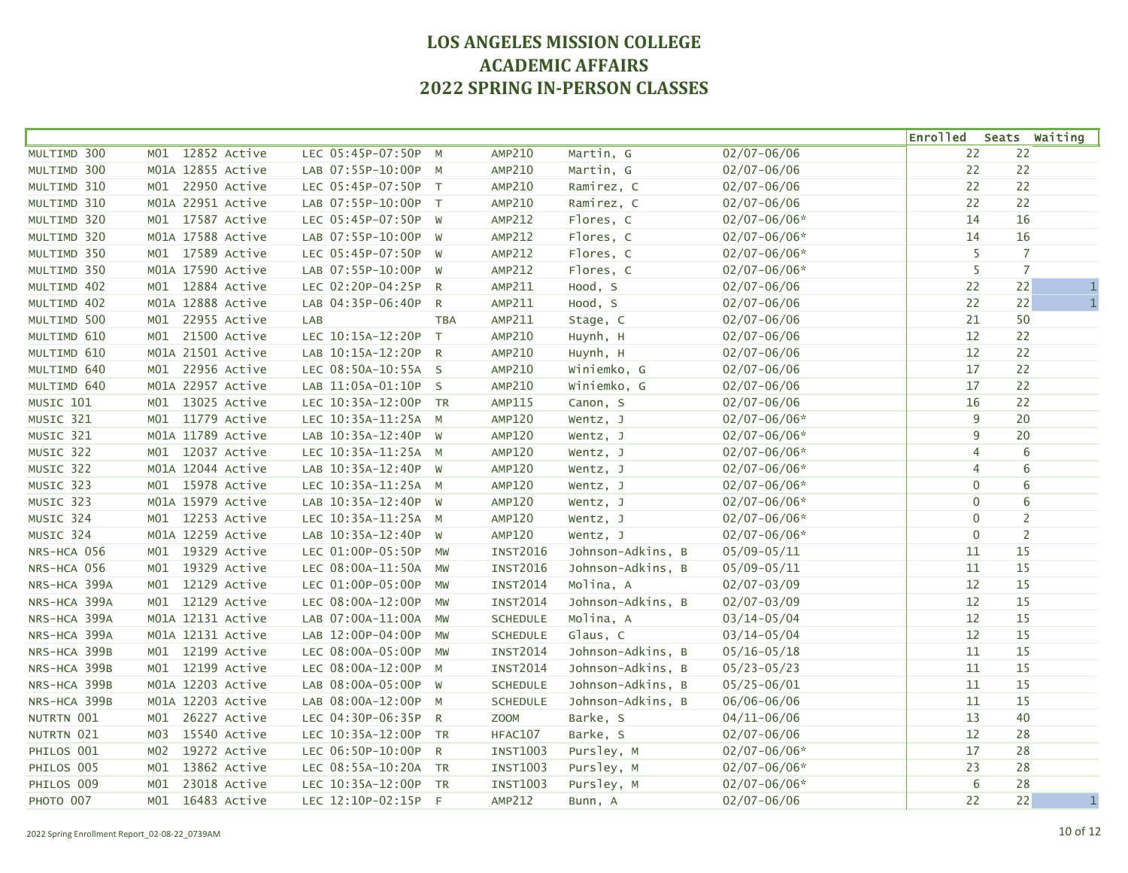|              |                                 |                      |            |                 |                   |                  | Enrolled Seats Waiting |                |              |
|--------------|---------------------------------|----------------------|------------|-----------------|-------------------|------------------|------------------------|----------------|--------------|
| MULTIMD 300  | 12852 Active<br>M01             | LEC 05:45P-07:50P    | M          | AMP210          | Martin, G         | $02/07 - 06/06$  | 22                     | 22             |              |
| MULTIMD 300  | M01A 12855 Active               | LAB 07:55P-10:00P M  |            | AMP210          | Martin, G         | $02/07 - 06/06$  | 22                     | 22             |              |
| MULTIMD 310  | M01 22950 Active                | LEC 05:45P-07:50P T  |            | <b>AMP210</b>   | Ramirez, C        | $02/07 - 06/06$  | 22                     | 22             |              |
| MULTIMD 310  | M01A 22951 Active               | LAB 07:55P-10:00P T  |            | AMP210          | Ramirez, C        | $02/07 - 06/06$  | 22                     | 22             |              |
| MULTIMD 320  | M01 17587 Active                | LEC 05:45P-07:50P W  |            | AMP212          | Flores, C         | $02/07 - 06/06*$ | 14                     | 16             |              |
| MULTIMD 320  | M01A 17588 Active               | LAB 07:55P-10:00P W  |            | AMP212          | Flores, C         | $02/07 - 06/06*$ | 14                     | 16             |              |
| MULTIMD 350  | M01 17589 Active                | LEC 05:45P-07:50P W  |            | AMP212          | Flores, C         | $02/07 - 06/06*$ | 5                      | $\overline{7}$ |              |
| MULTIMD 350  | M01A 17590 Active               | LAB 07:55P-10:00P W  |            | AMP212          | Flores, C         | $02/07 - 06/06*$ | 5                      | $\overline{7}$ |              |
| MULTIMD 402  | M01 12884 Active                | LEC 02:20P-04:25P R  |            | AMP211          | Hood, S           | $02/07 - 06/06$  | 22                     | 22             | $\mathbf 1$  |
| MULTIMD 402  | M01A 12888 Active               | LAB 04:35P-06:40P R  |            | AMP211          | Hood, S           | $02/07 - 06/06$  | 22                     | 22             | $\mathbf{1}$ |
| MULTIMD 500  | M01 22955 Active                | LAB                  | <b>TBA</b> | AMP211          | Stage, C          | $02/07 - 06/06$  | 21                     | 50             |              |
| MULTIMD 610  | 21500 Active<br>MO1             | LEC 10:15A-12:20P T  |            | AMP210          | Huynh, H          | $02/07 - 06/06$  | 12                     | 22             |              |
| MULTIMD 610  | M01A 21501 Active               | LAB 10:15A-12:20P R  |            | <b>AMP210</b>   | Huynh, H          | $02/07 - 06/06$  | 12                     | 22             |              |
| MULTIMD 640  | M01 22956 Active                | LEC 08:50A-10:55A S  |            | AMP210          | Winiemko, G       | $02/07 - 06/06$  | 17                     | 22             |              |
| MULTIMD 640  | M01A 22957 Active               | LAB 11:05A-01:10P S  |            | AMP210          | Winiemko, G       | $02/07 - 06/06$  | 17                     | 22             |              |
| MUSIC 101    | 13025 Active<br>MO1             | LEC 10:35A-12:00P TR |            | AMP115          | Canon, S          | $02/07 - 06/06$  | 16                     | 22             |              |
| MUSIC 321    | M01 11779 Active                | LEC 10:35A-11:25A M  |            | <b>AMP120</b>   | Wentz, J          | $02/07 - 06/06*$ | 9                      | 20             |              |
| MUSIC 321    | M01A 11789 Active               | LAB 10:35A-12:40P W  |            | <b>AMP120</b>   | Wentz, J          | $02/07 - 06/06*$ | 9                      | 20             |              |
| MUSIC 322    | M01 12037 Active                | LEC 10:35A-11:25A M  |            | <b>AMP120</b>   | Wentz, J          | $02/07 - 06/06*$ | $\overline{4}$         | 6              |              |
| MUSIC 322    | M01A 12044 Active               | LAB 10:35A-12:40P W  |            | <b>AMP120</b>   | Wentz, J          | $02/07 - 06/06*$ | $\overline{4}$         | 6              |              |
| MUSIC 323    | M01 15978 Active                | LEC 10:35A-11:25A M  |            | AMP120          | Wentz, J          | $02/07 - 06/06*$ | $\mathbf 0$            | 6              |              |
| MUSIC 323    | M01A 15979 Active               | LAB 10:35A-12:40P W  |            | <b>AMP120</b>   | Wentz, J          | $02/07 - 06/06*$ | $\mathbf 0$            | 6              |              |
| MUSIC 324    | M01 12253 Active                | LEC 10:35A-11:25A M  |            | <b>AMP120</b>   | Wentz, J          | $02/07 - 06/06*$ | $\mathbf 0$            | $\overline{2}$ |              |
| MUSIC 324    | M01A 12259 Active               | LAB 10:35A-12:40P W  |            | <b>AMP120</b>   | Wentz, J          | $02/07 - 06/06*$ | $\pmb{0}$              | $\overline{2}$ |              |
| NRS-HCA 056  | M01 19329 Active                | LEC 01:00P-05:50P MW |            | <b>INST2016</b> | Johnson-Adkins, B | $05/09 - 05/11$  | $11\,$                 | 15             |              |
| NRS-HCA 056  | 19329 Active<br>MO1             | LEC 08:00A-11:50A    | <b>MW</b>  | <b>INST2016</b> | Johnson-Adkins, B | $05/09 - 05/11$  | 11                     | 15             |              |
| NRS-HCA 399A | 12129 Active<br>MO1             | LEC 01:00P-05:00P    | <b>MW</b>  | <b>INST2014</b> | Molina, A         | $02/07 - 03/09$  | 12                     | 15             |              |
| NRS-HCA 399A | M01 12129 Active                | LEC 08:00A-12:00P    | MW         | <b>INST2014</b> | Johnson-Adkins, B | $02/07 - 03/09$  | 12                     | 15             |              |
| NRS-HCA 399A | M01A 12131 Active               | LAB 07:00A-11:00A    | MW         | <b>SCHEDULE</b> | Molina, A         | $03/14 - 05/04$  | 12                     | 15             |              |
| NRS-HCA 399A | M01A 12131 Active               | LAB 12:00P-04:00P    | <b>MW</b>  | <b>SCHEDULE</b> | Glaus, C          | $03/14 - 05/04$  | 12                     | 15             |              |
| NRS-HCA 399B | M01 12199 Active                | LEC 08:00A-05:00P    | <b>MW</b>  | <b>INST2014</b> | Johnson-Adkins, B | $05/16 - 05/18$  | 11                     | 15             |              |
| NRS-HCA 399B | M01 12199 Active                | LEC 08:00A-12:00P M  |            | <b>INST2014</b> | Johnson-Adkins, B | $05/23 - 05/23$  | 11                     | 15             |              |
| NRS-HCA 399B | M01A 12203 Active               | LAB 08:00A-05:00P W  |            | <b>SCHEDULE</b> | Johnson-Adkins, B | $05/25 - 06/01$  | 11                     | 15             |              |
| NRS-HCA 399B | M01A 12203 Active               | LAB 08:00A-12:00P M  |            | <b>SCHEDULE</b> | Johnson-Adkins, B | $06/06 - 06/06$  | 11                     | 15             |              |
| NUTRTN 001   | 26227 Active<br>M <sub>01</sub> | LEC 04:30P-06:35P R  |            | <b>ZOOM</b>     | Barke, S          | $04/11 - 06/06$  | 13                     | 40             |              |
| NUTRTN 021   | M03<br>15540 Active             | LEC 10:35A-12:00P TR |            | HFAC107         | Barke, S          | $02/07 - 06/06$  | 12                     | 28             |              |
| PHILOS 001   | 19272 Active<br>M02             | LEC 06:50P-10:00P R  |            | <b>INST1003</b> | Pursley, M        | $02/07 - 06/06*$ | 17                     | 28             |              |
| PHILOS 005   | 13862 Active<br>MO1             | LEC 08:55A-10:20A TR |            | <b>INST1003</b> | Pursley, M        | $02/07 - 06/06*$ | 23                     | 28             |              |
| PHILOS 009   | 23018 Active<br>M <sub>01</sub> | LEC 10:35A-12:00P TR |            | <b>INST1003</b> | Pursley, M        | $02/07 - 06/06*$ | 6                      | 28             |              |
| PHOTO 007    | MO1<br>16483 Active             | LEC 12:10P-02:15P F  |            | AMP212          | Bunn, A           | $02/07 - 06/06$  | 22                     | 22             | $1\,$        |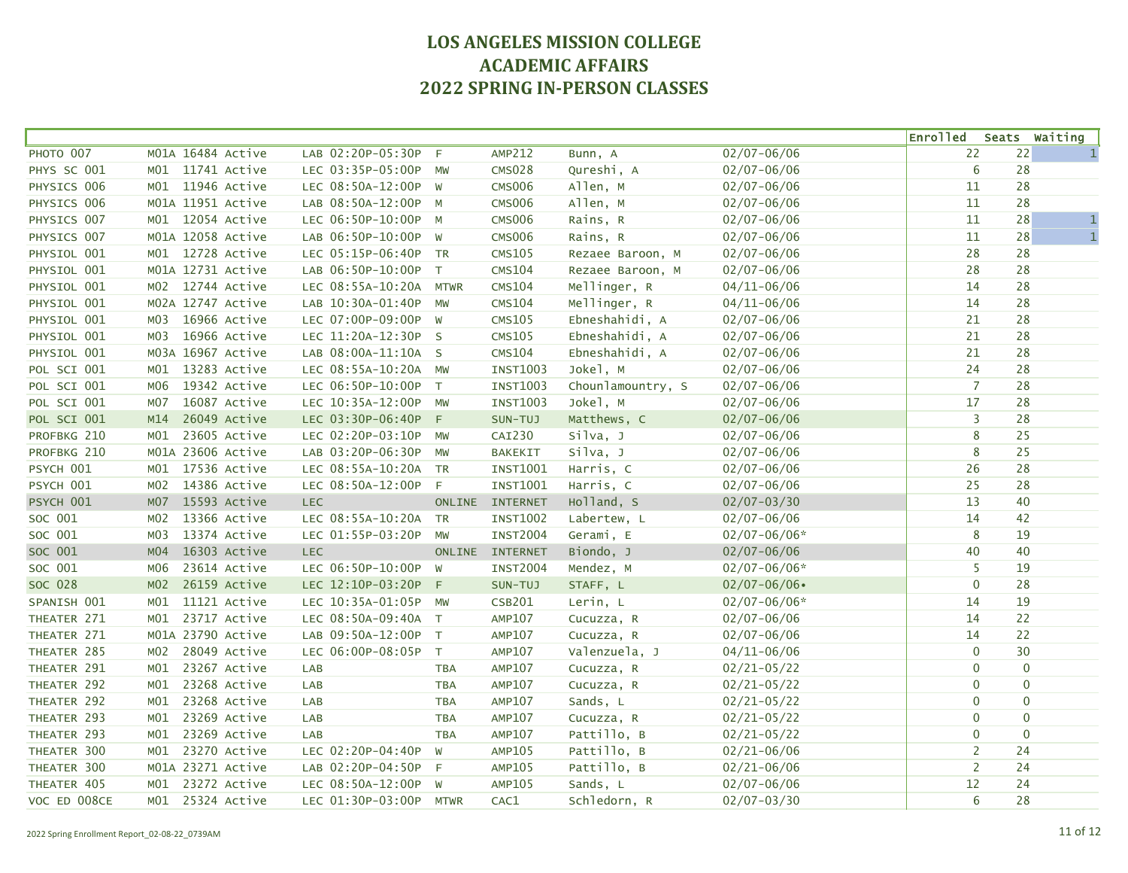|              |                 |                   |                        |            |                 |                   |                  | <b>Enrolled</b> |                | Seats Waiting |
|--------------|-----------------|-------------------|------------------------|------------|-----------------|-------------------|------------------|-----------------|----------------|---------------|
| PHOTO 007    |                 | M01A 16484 Active | LAB 02:20P-05:30P      | F          | AMP212          | Bunn, A           | $02/07 - 06/06$  | 22              | 22             | $\mathbf{1}$  |
| PHYS SC 001  |                 | M01 11741 Active  | LEC 03:35P-05:00P      | MW         | <b>CMS028</b>   | Qureshi, A        | $02/07 - 06/06$  | 6               | 28             |               |
| PHYSICS 006  |                 | M01 11946 Active  | LEC 08:50A-12:00P W    |            | <b>CMS006</b>   | Allen, M          | $02/07 - 06/06$  | 11              | 28             |               |
| PHYSICS 006  |                 | M01A 11951 Active | LAB 08:50A-12:00P M    |            | <b>CMS006</b>   | Allen, M          | $02/07 - 06/06$  | 11              | 28             |               |
| PHYSICS 007  |                 | M01 12054 Active  | LEC 06:50P-10:00P M    |            | <b>CMS006</b>   | Rains, R          | $02/07 - 06/06$  | $11\,$          | 28             | $\mathbf{1}$  |
| PHYSICS 007  |                 | M01A 12058 Active | LAB 06:50P-10:00P W    |            | <b>CMS006</b>   | Rains, R          | $02/07 - 06/06$  | 11              | 28             | $\mathbf{1}$  |
| PHYSIOL 001  |                 | M01 12728 Active  | LEC 05:15P-06:40P TR   |            | <b>CMS105</b>   | Rezaee Baroon, M  | $02/07 - 06/06$  | 28              | 28             |               |
| PHYSIOL 001  |                 | M01A 12731 Active | LAB 06:50P-10:00P T    |            | <b>CMS104</b>   | Rezaee Baroon, M  | $02/07 - 06/06$  | 28              | 28             |               |
| PHYSIOL 001  |                 | M02 12744 Active  | LEC 08:55A-10:20A MTWR |            | <b>CMS104</b>   | Mellinger, R      | $04/11 - 06/06$  | 14              | 28             |               |
| PHYSIOL 001  |                 | M02A 12747 Active | LAB 10:30A-01:40P MW   |            | <b>CMS104</b>   | Mellinger, R      | $04/11 - 06/06$  | 14              | 28             |               |
| PHYSIOL 001  | м03             | 16966 Active      | LEC 07:00P-09:00P W    |            | <b>CMS105</b>   | Ebneshahidi, A    | $02/07 - 06/06$  | 21              | 28             |               |
| PHYSIOL 001  | MO3             | 16966 Active      | LEC 11:20A-12:30P S    |            | <b>CMS105</b>   | Ebneshahidi, A    | $02/07 - 06/06$  | 21              | 28             |               |
| PHYSIOL 001  |                 | M03A 16967 Active | LAB 08:00A-11:10A S    |            | <b>CMS104</b>   | Ebneshahidi, A    | $02/07 - 06/06$  | 21              | 28             |               |
| POL SCI 001  |                 | M01 13283 Active  | LEC 08:55A-10:20A MW   |            | <b>INST1003</b> | Jokel, M          | $02/07 - 06/06$  | 24              | 28             |               |
| POL SCI 001  | M06             | 19342 Active      | LEC 06:50P-10:00P T    |            | <b>INST1003</b> | Chounlamountry, S | $02/07 - 06/06$  | $\overline{7}$  | 28             |               |
| POL SCI 001  | M07             | 16087 Active      | LEC 10:35A-12:00P MW   |            | <b>INST1003</b> | Jokel, M          | $02/07 - 06/06$  | 17              | 28             |               |
| POL SCI 001  | M14             | 26049 Active      | LEC 03:30P-06:40P      | $-F$       | SUN-TUJ         | Matthews, C       | $02/07 - 06/06$  | 3               | 28             |               |
| PROFBKG 210  | MO1             | 23605 Active      | LEC 02:20P-03:10P      | MW         | CAI230          | silva, J          | $02/07 - 06/06$  | 8               | 25             |               |
| PROFBKG 210  |                 | M01A 23606 Active | LAB 03:20P-06:30P      | MW         | <b>BAKEKIT</b>  | Silva, J          | $02/07 - 06/06$  | 8               | 25             |               |
| PSYCH 001    |                 | M01 17536 Active  | LEC 08:55A-10:20A TR   |            | INST1001        | Harris, C         | $02/07 - 06/06$  | 26              | 28             |               |
| PSYCH 001    |                 | M02 14386 Active  | LEC 08:50A-12:00P F    |            | <b>INST1001</b> | Harris, C         | $02/07 - 06/06$  | 25              | 28             |               |
| PSYCH 001    | M07             | 15593 Active      | <b>LEC</b>             |            | ONLINE INTERNET | Holland, S        | $02/07 - 03/30$  | 13              | 40             |               |
| SOC 001      | MO2             | 13366 Active      | LEC 08:55A-10:20A TR   |            | <b>INST1002</b> | Labertew, L       | $02/07 - 06/06$  | 14              | 42             |               |
| SOC 001      | M03             | 13374 Active      | LEC 01:55P-03:20P      | MW         | <b>INST2004</b> | Gerami, E         | $02/07 - 06/06*$ | 8               | 19             |               |
| SOC 001      | MO4             | 16303 Active      | <b>LEC</b>             |            | ONLINE INTERNET | Biondo, J         | $02/07 - 06/06$  | 40              | 40             |               |
| SOC 001      | м06             | 23614 Active      | LEC 06:50P-10:00P W    |            | <b>INST2004</b> | Mendez, M         | $02/07 - 06/06*$ | 5               | 19             |               |
| SOC 028      | M <sub>02</sub> | 26159 Active      | LEC 12:10P-03:20P F    |            | SUN-TUJ         | STAFF, L          | $02/07 - 06/06$  | $\mathbf 0$     | 28             |               |
| SPANISH 001  | MO1             | 11121 Active      | LEC 10:35A-01:05P MW   |            | <b>CSB201</b>   | Lerin, L          | $02/07 - 06/06*$ | 14              | 19             |               |
| THEATER 271  | MO1             | 23717 Active      | LEC 08:50A-09:40A T    |            | <b>AMP107</b>   | Cucuzza, R        | $02/07 - 06/06$  | 14              | 22             |               |
| THEATER 271  |                 | M01A 23790 Active | LAB 09:50A-12:00P T    |            | AMP107          | Cucuzza, R        | $02/07 - 06/06$  | 14              | 22             |               |
| THEATER 285  | MO2             | 28049 Active      | LEC 06:00P-08:05P T    |            | <b>AMP107</b>   | Valenzuela, J     | $04/11 - 06/06$  | $\mathbf 0$     | 30             |               |
| THEATER 291  | MO1             | 23267 Active      | LAB                    | <b>TBA</b> | AMP107          | Cucuzza, R        | $02/21 - 05/22$  | $\mathbf 0$     | $\overline{0}$ |               |
| THEATER 292  | MO1             | 23268 Active      | LAB                    | <b>TBA</b> | <b>AMP107</b>   | Cucuzza, R        | $02/21 - 05/22$  | 0               | $\pmb{0}$      |               |
| THEATER 292  | MO1             | 23268 Active      | LAB                    | <b>TBA</b> | AMP107          | Sands, L          | $02/21 - 05/22$  | $\mathbf 0$     | $\mathbf{0}$   |               |
| THEATER 293  | MO1             | 23269 Active      | LAB                    | <b>TBA</b> | AMP107          | Cucuzza, R        | $02/21 - 05/22$  | $\mathbf 0$     | $\mathbf 0$    |               |
| THEATER 293  | MO1             | 23269 Active      | LAB                    | <b>TBA</b> | AMP107          | Pattillo, B       | $02/21 - 05/22$  | $\mathbf 0$     | $\mathbf{0}$   |               |
| THEATER 300  | MO1             | 23270 Active      | LEC 02:20P-04:40P      | W          | AMP105          | Pattillo, B       | $02/21 - 06/06$  | $\overline{2}$  | 24             |               |
| THEATER 300  |                 | M01A 23271 Active | LAB 02:20P-04:50P      | - F        | AMP105          | Pattillo, B       | $02/21 - 06/06$  | $\overline{2}$  | 24             |               |
| THEATER 405  | MO1             | 23272 Active      | LEC 08:50A-12:00P      | W          | AMP105          | Sands, L          | $02/07 - 06/06$  | 12              | 24             |               |
| VOC ED 008CE |                 | M01 25324 Active  | LEC 01:30P-03:00P MTWR |            | CAC1            | Schledorn, R      | $02/07 - 03/30$  | 6               | 28             |               |